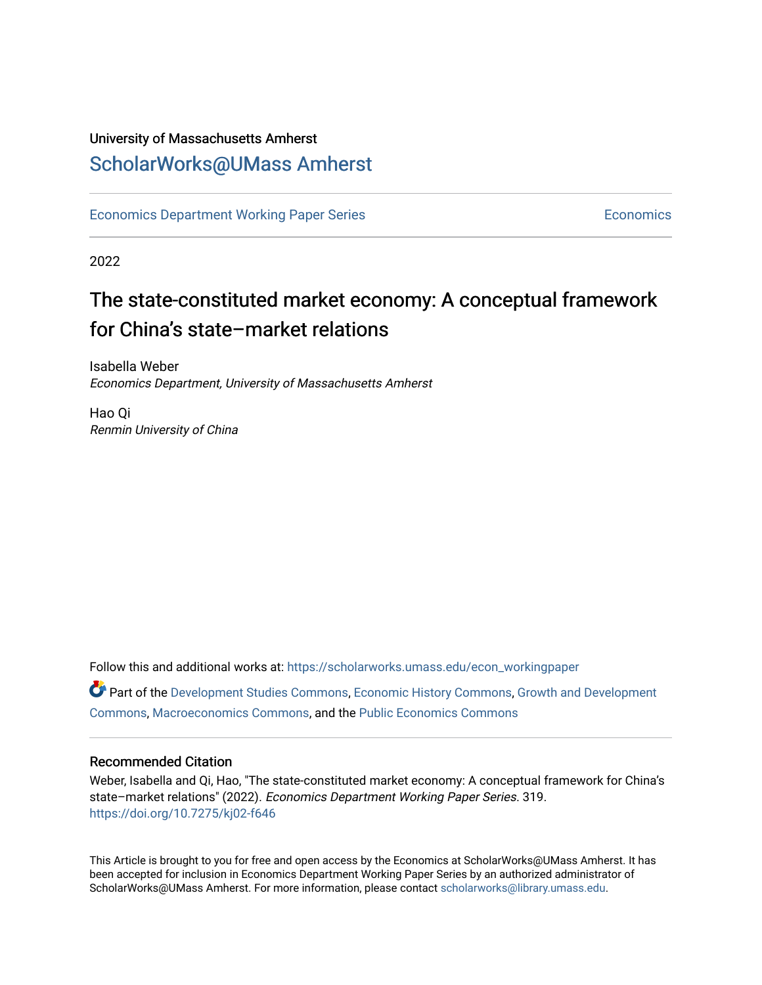## University of Massachusetts Amherst [ScholarWorks@UMass Amherst](https://scholarworks.umass.edu/)

[Economics Department Working Paper Series](https://scholarworks.umass.edu/econ_workingpaper) **Economics** [Economics](https://scholarworks.umass.edu/economics) Economics

2022

# The state-constituted market economy: A conceptual framework for China's state–market relations

Isabella Weber Economics Department, University of Massachusetts Amherst

Hao Qi Renmin University of China

Follow this and additional works at: [https://scholarworks.umass.edu/econ\\_workingpaper](https://scholarworks.umass.edu/econ_workingpaper?utm_source=scholarworks.umass.edu%2Fecon_workingpaper%2F319&utm_medium=PDF&utm_campaign=PDFCoverPages)  Part of the [Development Studies Commons,](https://network.bepress.com/hgg/discipline/1422?utm_source=scholarworks.umass.edu%2Fecon_workingpaper%2F319&utm_medium=PDF&utm_campaign=PDFCoverPages) [Economic History Commons](https://network.bepress.com/hgg/discipline/343?utm_source=scholarworks.umass.edu%2Fecon_workingpaper%2F319&utm_medium=PDF&utm_campaign=PDFCoverPages), [Growth and Development](https://network.bepress.com/hgg/discipline/346?utm_source=scholarworks.umass.edu%2Fecon_workingpaper%2F319&utm_medium=PDF&utm_campaign=PDFCoverPages)  [Commons](https://network.bepress.com/hgg/discipline/346?utm_source=scholarworks.umass.edu%2Fecon_workingpaper%2F319&utm_medium=PDF&utm_campaign=PDFCoverPages), [Macroeconomics Commons,](https://network.bepress.com/hgg/discipline/350?utm_source=scholarworks.umass.edu%2Fecon_workingpaper%2F319&utm_medium=PDF&utm_campaign=PDFCoverPages) and the [Public Economics Commons](https://network.bepress.com/hgg/discipline/351?utm_source=scholarworks.umass.edu%2Fecon_workingpaper%2F319&utm_medium=PDF&utm_campaign=PDFCoverPages) 

#### Recommended Citation

Weber, Isabella and Qi, Hao, "The state-constituted market economy: A conceptual framework for China's state–market relations" (2022). Economics Department Working Paper Series. 319. <https://doi.org/10.7275/kj02-f646>

This Article is brought to you for free and open access by the Economics at ScholarWorks@UMass Amherst. It has been accepted for inclusion in Economics Department Working Paper Series by an authorized administrator of ScholarWorks@UMass Amherst. For more information, please contact [scholarworks@library.umass.edu.](mailto:scholarworks@library.umass.edu)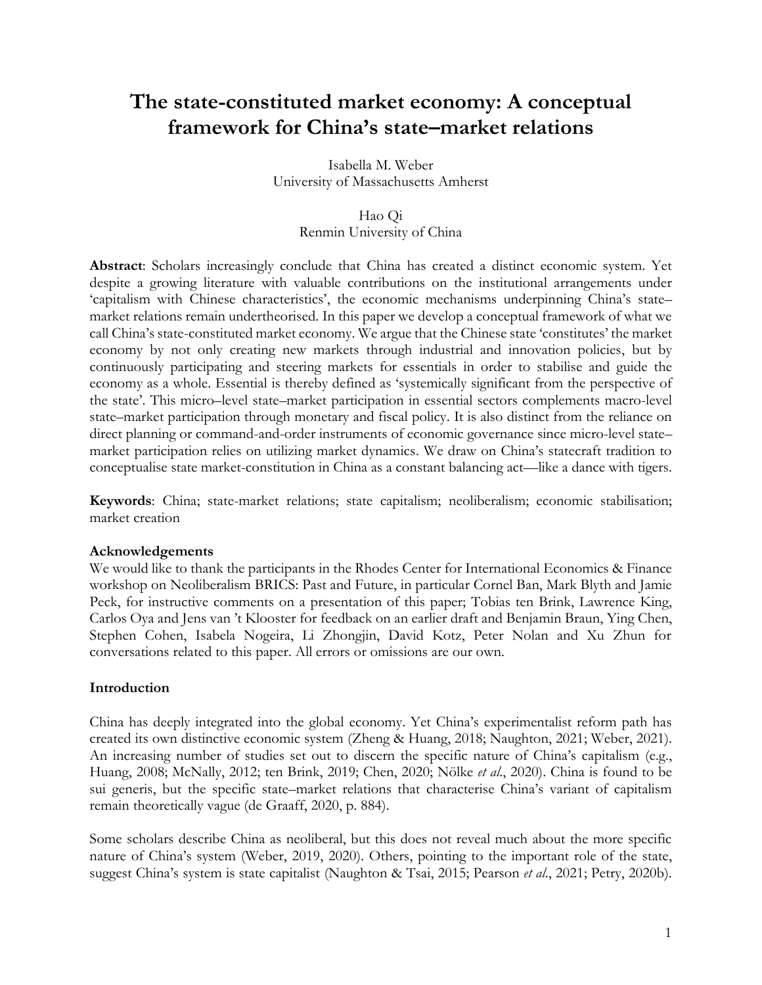## **The state-constituted market economy: A conceptual framework for China's state–market relations**

Isabella M. Weber University of Massachusetts Amherst

#### Hao Qi

Renmin University of China

**Abstract**: Scholars increasingly conclude that China has created a distinct economic system. Yet despite a growing literature with valuable contributions on the institutional arrangements under 'capitalism with Chinese characteristics', the economic mechanisms underpinning China's state– market relations remain undertheorised. In this paper we develop a conceptual framework of what we call China's state-constituted market economy. We argue that the Chinese state 'constitutes' the market economy by not only creating new markets through industrial and innovation policies, but by continuously participating and steering markets for essentials in order to stabilise and guide the economy as a whole. Essential is thereby defined as 'systemically significant from the perspective of the state'. This micro–level state–market participation in essential sectors complements macro-level state–market participation through monetary and fiscal policy. It is also distinct from the reliance on direct planning or command-and-order instruments of economic governance since micro-level state– market participation relies on utilizing market dynamics. We draw on China's statecraft tradition to conceptualise state market-constitution in China as a constant balancing act—like a dance with tigers.

**Keywords**: China; state-market relations; state capitalism; neoliberalism; economic stabilisation; market creation

#### **Acknowledgements**

We would like to thank the participants in the Rhodes Center for International Economics & Finance workshop on Neoliberalism BRICS: Past and Future, in particular Cornel Ban, Mark Blyth and Jamie Peck, for instructive comments on a presentation of this paper; Tobias ten Brink, Lawrence King, Carlos Oya and Jens van 't Klooster for feedback on an earlier draft and Benjamin Braun, Ying Chen, Stephen Cohen, Isabela Nogeira, Li Zhongjin, David Kotz, Peter Nolan and Xu Zhun for conversations related to this paper. All errors or omissions are our own.

#### **Introduction**

China has deeply integrated into the global economy. Yet China's experimentalist reform path has created its own distinctive economic system (Zheng & Huang, 2018; Naughton, 2021; Weber, 2021). An increasing number of studies set out to discern the specific nature of China's capitalism (e.g., Huang, 2008; McNally, 2012; ten Brink, 2019; Chen, 2020; Nölke *et al*., 2020). China is found to be sui generis, but the specific state–market relations that characterise China's variant of capitalism remain theoretically vague (de Graaff, 2020, p. 884).

Some scholars describe China as neoliberal, but this does not reveal much about the more specific nature of China's system (Weber, 2019, 2020). Others, pointing to the important role of the state, suggest China's system is state capitalist (Naughton & Tsai, 2015; Pearson *et al*., 2021; Petry, 2020b).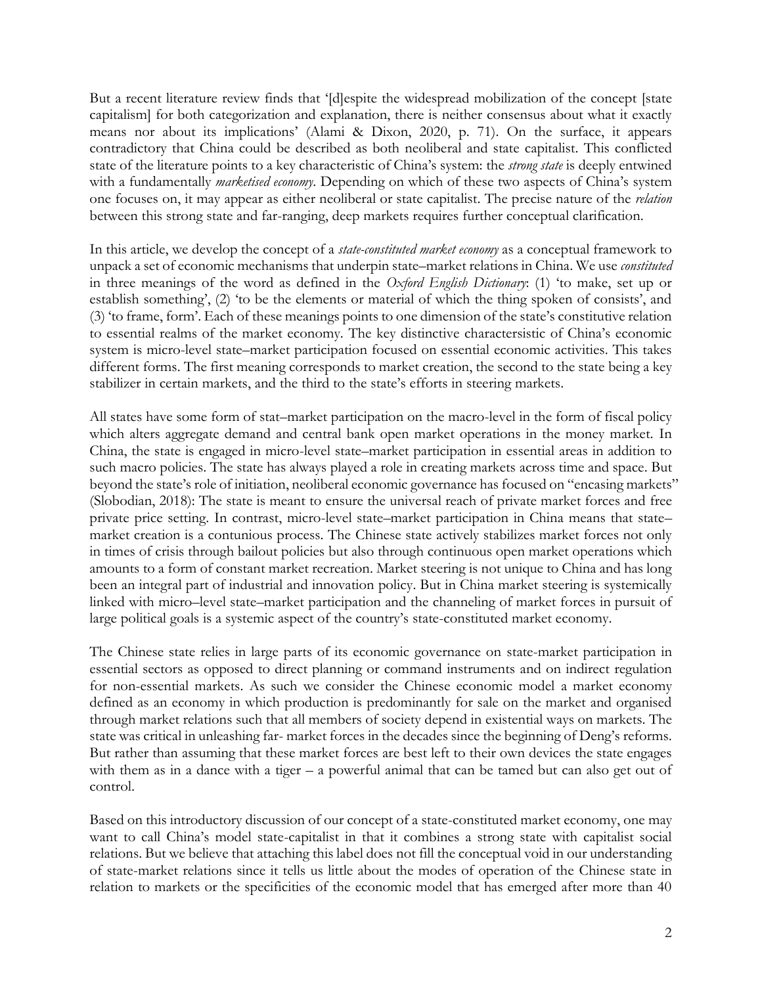But a recent literature review finds that '[d]espite the widespread mobilization of the concept [state capitalism] for both categorization and explanation, there is neither consensus about what it exactly means nor about its implications' (Alami & Dixon, 2020, p. 71). On the surface, it appears contradictory that China could be described as both neoliberal and state capitalist. This conflicted state of the literature points to a key characteristic of China's system: the *strong state* is deeply entwined with a fundamentally *marketised economy*. Depending on which of these two aspects of China's system one focuses on, it may appear as either neoliberal or state capitalist. The precise nature of the *relation* between this strong state and far-ranging, deep markets requires further conceptual clarification.

In this article, we develop the concept of a *state-constituted market economy* as a conceptual framework to unpack a set of economic mechanisms that underpin state–market relations in China. We use *constituted* in three meanings of the word as defined in the *Oxford English Dictionary*: (1) 'to make, set up or establish something', (2) 'to be the elements or material of which the thing spoken of consists', and (3) 'to frame, form'. Each of these meanings points to one dimension of the state's constitutive relation to essential realms of the market economy. The key distinctive charactersistic of China's economic system is micro-level state–market participation focused on essential economic activities. This takes different forms. The first meaning corresponds to market creation, the second to the state being a key stabilizer in certain markets, and the third to the state's efforts in steering markets.

All states have some form of stat–market participation on the macro-level in the form of fiscal policy which alters aggregate demand and central bank open market operations in the money market. In China, the state is engaged in micro-level state–market participation in essential areas in addition to such macro policies. The state has always played a role in creating markets across time and space. But beyond the state's role of initiation, neoliberal economic governance has focused on "encasing markets" (Slobodian, 2018): The state is meant to ensure the universal reach of private market forces and free private price setting. In contrast, micro-level state–market participation in China means that state– market creation is a contunious process. The Chinese state actively stabilizes market forces not only in times of crisis through bailout policies but also through continuous open market operations which amounts to a form of constant market recreation. Market steering is not unique to China and has long been an integral part of industrial and innovation policy. But in China market steering is systemically linked with micro–level state–market participation and the channeling of market forces in pursuit of large political goals is a systemic aspect of the country's state-constituted market economy.

The Chinese state relies in large parts of its economic governance on state-market participation in essential sectors as opposed to direct planning or command instruments and on indirect regulation for non-essential markets. As such we consider the Chinese economic model a market economy defined as an economy in which production is predominantly for sale on the market and organised through market relations such that all members of society depend in existential ways on markets. The state was critical in unleashing far- market forces in the decades since the beginning of Deng's reforms. But rather than assuming that these market forces are best left to their own devices the state engages with them as in a dance with a tiger – a powerful animal that can be tamed but can also get out of control.

Based on this introductory discussion of our concept of a state-constituted market economy, one may want to call China's model state-capitalist in that it combines a strong state with capitalist social relations. But we believe that attaching this label does not fill the conceptual void in our understanding of state-market relations since it tells us little about the modes of operation of the Chinese state in relation to markets or the specificities of the economic model that has emerged after more than 40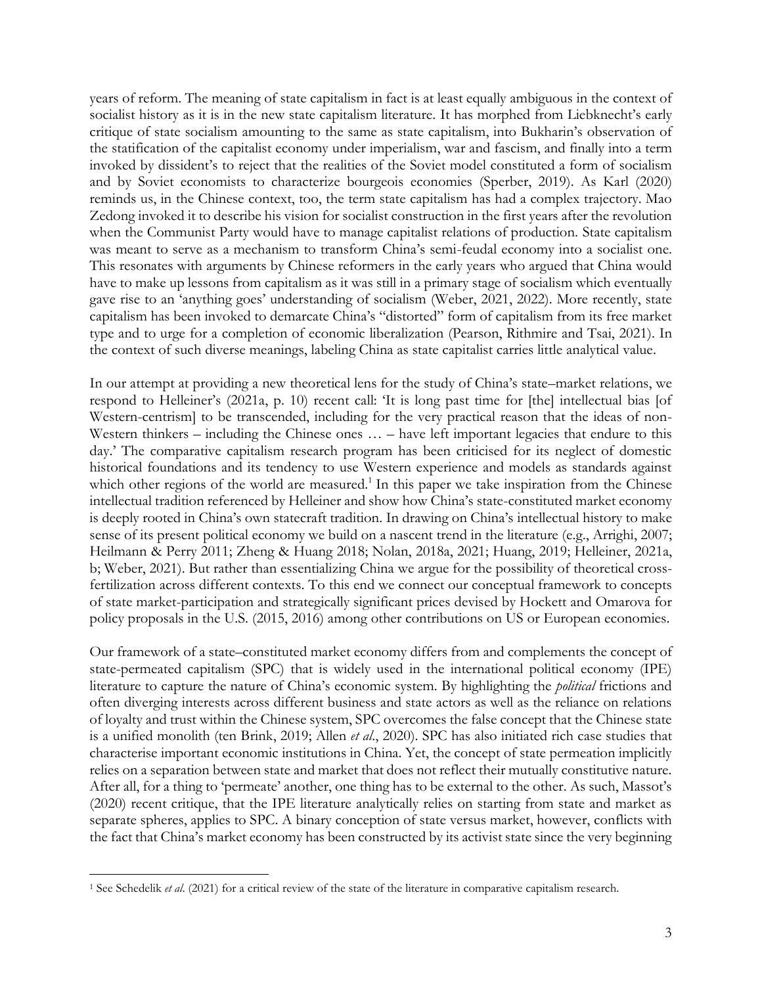years of reform. The meaning of state capitalism in fact is at least equally ambiguous in the context of socialist history as it is in the new state capitalism literature. It has morphed from Liebknecht's early critique of state socialism amounting to the same as state capitalism, into Bukharin's observation of the statification of the capitalist economy under imperialism, war and fascism, and finally into a term invoked by dissident's to reject that the realities of the Soviet model constituted a form of socialism and by Soviet economists to characterize bourgeois economies (Sperber, 2019). As Karl (2020) reminds us, in the Chinese context, too, the term state capitalism has had a complex trajectory. Mao Zedong invoked it to describe his vision for socialist construction in the first years after the revolution when the Communist Party would have to manage capitalist relations of production. State capitalism was meant to serve as a mechanism to transform China's semi-feudal economy into a socialist one. This resonates with arguments by Chinese reformers in the early years who argued that China would have to make up lessons from capitalism as it was still in a primary stage of socialism which eventually gave rise to an 'anything goes' understanding of socialism (Weber, 2021, 2022). More recently, state capitalism has been invoked to demarcate China's "distorted" form of capitalism from its free market type and to urge for a completion of economic liberalization (Pearson, Rithmire and Tsai, 2021). In the context of such diverse meanings, labeling China as state capitalist carries little analytical value.

In our attempt at providing a new theoretical lens for the study of China's state–market relations, we respond to Helleiner's (2021a, p. 10) recent call: 'It is long past time for [the] intellectual bias [of Western-centrism] to be transcended, including for the very practical reason that the ideas of non-Western thinkers – including the Chinese ones  $\dots$  – have left important legacies that endure to this day.' The comparative capitalism research program has been criticised for its neglect of domestic historical foundations and its tendency to use Western experience and models as standards against which other regions of the world are measured.<sup>1</sup> In this paper we take inspiration from the Chinese intellectual tradition referenced by Helleiner and show how China's state-constituted market economy is deeply rooted in China's own statecraft tradition. In drawing on China's intellectual history to make sense of its present political economy we build on a nascent trend in the literature (e.g., Arrighi, 2007; Heilmann & Perry 2011; Zheng & Huang 2018; Nolan, 2018a, 2021; Huang, 2019; Helleiner, 2021a, b; Weber, 2021). But rather than essentializing China we argue for the possibility of theoretical crossfertilization across different contexts. To this end we connect our conceptual framework to concepts of state market-participation and strategically significant prices devised by Hockett and Omarova for policy proposals in the U.S. (2015, 2016) among other contributions on US or European economies.

Our framework of a state–constituted market economy differs from and complements the concept of state-permeated capitalism (SPC) that is widely used in the international political economy (IPE) literature to capture the nature of China's economic system. By highlighting the *political* frictions and often diverging interests across different business and state actors as well as the reliance on relations of loyalty and trust within the Chinese system, SPC overcomes the false concept that the Chinese state is a unified monolith (ten Brink, 2019; Allen *et al*., 2020). SPC has also initiated rich case studies that characterise important economic institutions in China. Yet, the concept of state permeation implicitly relies on a separation between state and market that does not reflect their mutually constitutive nature. After all, for a thing to 'permeate' another, one thing has to be external to the other. As such, Massot's (2020) recent critique, that the IPE literature analytically relies on starting from state and market as separate spheres, applies to SPC. A binary conception of state versus market, however, conflicts with the fact that China's market economy has been constructed by its activist state since the very beginning

<sup>1</sup> See Schedelik *et al*. (2021) for a critical review of the state of the literature in comparative capitalism research.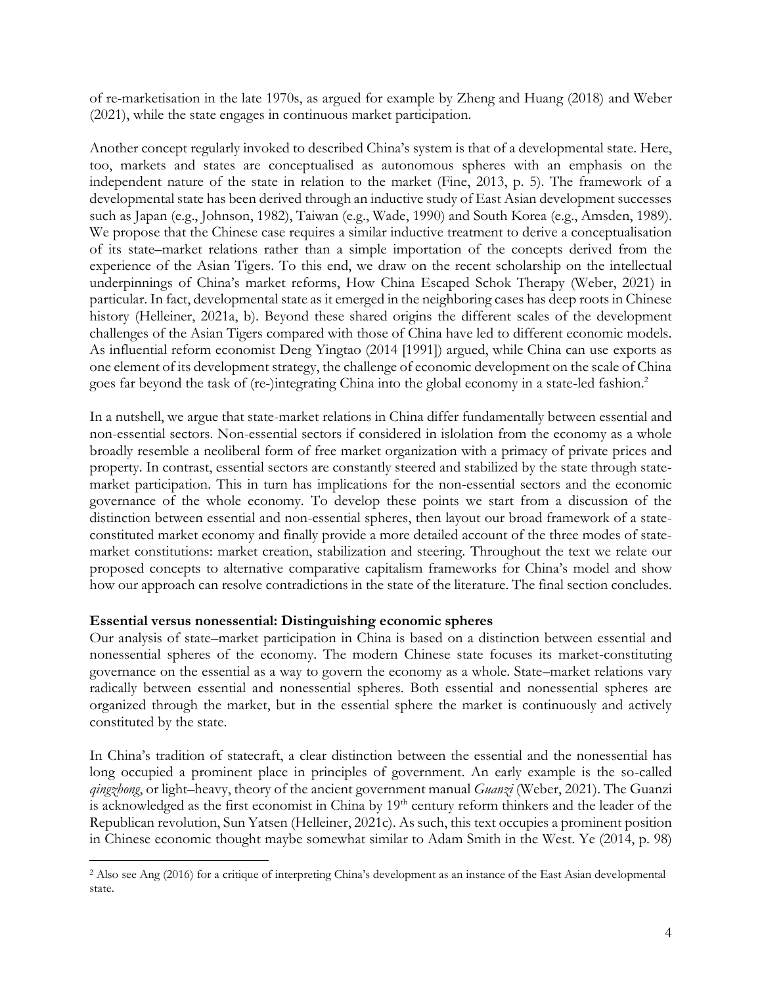of re-marketisation in the late 1970s, as argued for example by Zheng and Huang (2018) and Weber (2021), while the state engages in continuous market participation.

Another concept regularly invoked to described China's system is that of a developmental state. Here, too, markets and states are conceptualised as autonomous spheres with an emphasis on the independent nature of the state in relation to the market (Fine, 2013, p. 5). The framework of a developmental state has been derived through an inductive study of East Asian development successes such as Japan (e.g., Johnson, 1982), Taiwan (e.g., Wade, 1990) and South Korea (e.g., Amsden, 1989). We propose that the Chinese case requires a similar inductive treatment to derive a conceptualisation of its state–market relations rather than a simple importation of the concepts derived from the experience of the Asian Tigers. To this end, we draw on the recent scholarship on the intellectual underpinnings of China's market reforms, How China Escaped Schok Therapy (Weber, 2021) in particular. In fact, developmental state as it emerged in the neighboring cases has deep roots in Chinese history (Helleiner, 2021a, b). Beyond these shared origins the different scales of the development challenges of the Asian Tigers compared with those of China have led to different economic models. As influential reform economist Deng Yingtao (2014 [1991]) argued, while China can use exports as one element of its development strategy, the challenge of economic development on the scale of China goes far beyond the task of (re-)integrating China into the global economy in a state-led fashion.<sup>2</sup>

In a nutshell, we argue that state-market relations in China differ fundamentally between essential and non-essential sectors. Non-essential sectors if considered in islolation from the economy as a whole broadly resemble a neoliberal form of free market organization with a primacy of private prices and property. In contrast, essential sectors are constantly steered and stabilized by the state through statemarket participation. This in turn has implications for the non-essential sectors and the economic governance of the whole economy. To develop these points we start from a discussion of the distinction between essential and non-essential spheres, then layout our broad framework of a stateconstituted market economy and finally provide a more detailed account of the three modes of statemarket constitutions: market creation, stabilization and steering. Throughout the text we relate our proposed concepts to alternative comparative capitalism frameworks for China's model and show how our approach can resolve contradictions in the state of the literature. The final section concludes.

#### **Essential versus nonessential: Distinguishing economic spheres**

Our analysis of state–market participation in China is based on a distinction between essential and nonessential spheres of the economy. The modern Chinese state focuses its market-constituting governance on the essential as a way to govern the economy as a whole. State–market relations vary radically between essential and nonessential spheres. Both essential and nonessential spheres are organized through the market, but in the essential sphere the market is continuously and actively constituted by the state.

In China's tradition of statecraft, a clear distinction between the essential and the nonessential has long occupied a prominent place in principles of government. An early example is the so-called *qingzhong*, or light–heavy, theory of the ancient government manual *Guanzi* (Weber, 2021). The Guanzi is acknowledged as the first economist in China by 19<sup>th</sup> century reform thinkers and the leader of the Republican revolution, Sun Yatsen (Helleiner, 2021c). As such, this text occupies a prominent position in Chinese economic thought maybe somewhat similar to Adam Smith in the West. Ye (2014, p. 98)

<sup>2</sup> Also see Ang (2016) for a critique of interpreting China's development as an instance of the East Asian developmental state.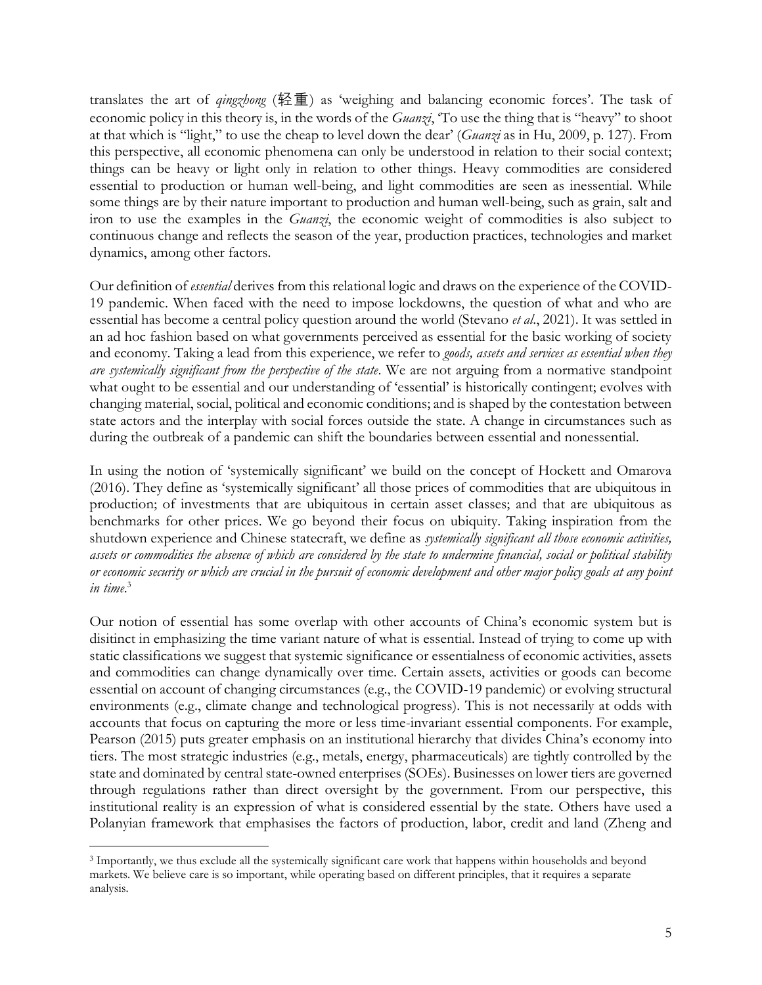translates the art of *qingzhong* (轻重) as 'weighing and balancing economic forces'. The task of economic policy in this theory is, in the words of the *Guanzi*, 'To use the thing that is "heavy" to shoot at that which is "light," to use the cheap to level down the dear' (*Guanzi* as in Hu, 2009, p. 127). From this perspective, all economic phenomena can only be understood in relation to their social context; things can be heavy or light only in relation to other things. Heavy commodities are considered essential to production or human well-being, and light commodities are seen as inessential. While some things are by their nature important to production and human well-being, such as grain, salt and iron to use the examples in the *Guanzi*, the economic weight of commodities is also subject to continuous change and reflects the season of the year, production practices, technologies and market dynamics, among other factors.

Our definition of *essential* derives from this relational logic and draws on the experience of the COVID-19 pandemic. When faced with the need to impose lockdowns, the question of what and who are essential has become a central policy question around the world (Stevano *et al*., 2021). It was settled in an ad hoc fashion based on what governments perceived as essential for the basic working of society and economy. Taking a lead from this experience, we refer to *goods, assets and services as essential when they are systemically significant from the perspective of the state*. We are not arguing from a normative standpoint what ought to be essential and our understanding of 'essential' is historically contingent; evolves with changing material, social, political and economic conditions; and is shaped by the contestation between state actors and the interplay with social forces outside the state. A change in circumstances such as during the outbreak of a pandemic can shift the boundaries between essential and nonessential.

In using the notion of 'systemically significant' we build on the concept of Hockett and Omarova (2016). They define as 'systemically significant' all those prices of commodities that are ubiquitous in production; of investments that are ubiquitous in certain asset classes; and that are ubiquitous as benchmarks for other prices. We go beyond their focus on ubiquity. Taking inspiration from the shutdown experience and Chinese statecraft, we define as *systemically significant all those economic activities, assets or commodities the absence of which are considered by the state to undermine financial, social or political stability or economic security or which are crucial in the pursuit of economic development and other major policy goals at any point in time*. 3

Our notion of essential has some overlap with other accounts of China's economic system but is disitinct in emphasizing the time variant nature of what is essential. Instead of trying to come up with static classifications we suggest that systemic significance or essentialness of economic activities, assets and commodities can change dynamically over time. Certain assets, activities or goods can become essential on account of changing circumstances (e.g., the COVID-19 pandemic) or evolving structural environments (e.g., climate change and technological progress). This is not necessarily at odds with accounts that focus on capturing the more or less time-invariant essential components. For example, Pearson (2015) puts greater emphasis on an institutional hierarchy that divides China's economy into tiers. The most strategic industries (e.g., metals, energy, pharmaceuticals) are tightly controlled by the state and dominated by central state-owned enterprises (SOEs). Businesses on lower tiers are governed through regulations rather than direct oversight by the government. From our perspective, this institutional reality is an expression of what is considered essential by the state. Others have used a Polanyian framework that emphasises the factors of production, labor, credit and land (Zheng and

<sup>3</sup> Importantly, we thus exclude all the systemically significant care work that happens within households and beyond markets. We believe care is so important, while operating based on different principles, that it requires a separate analysis.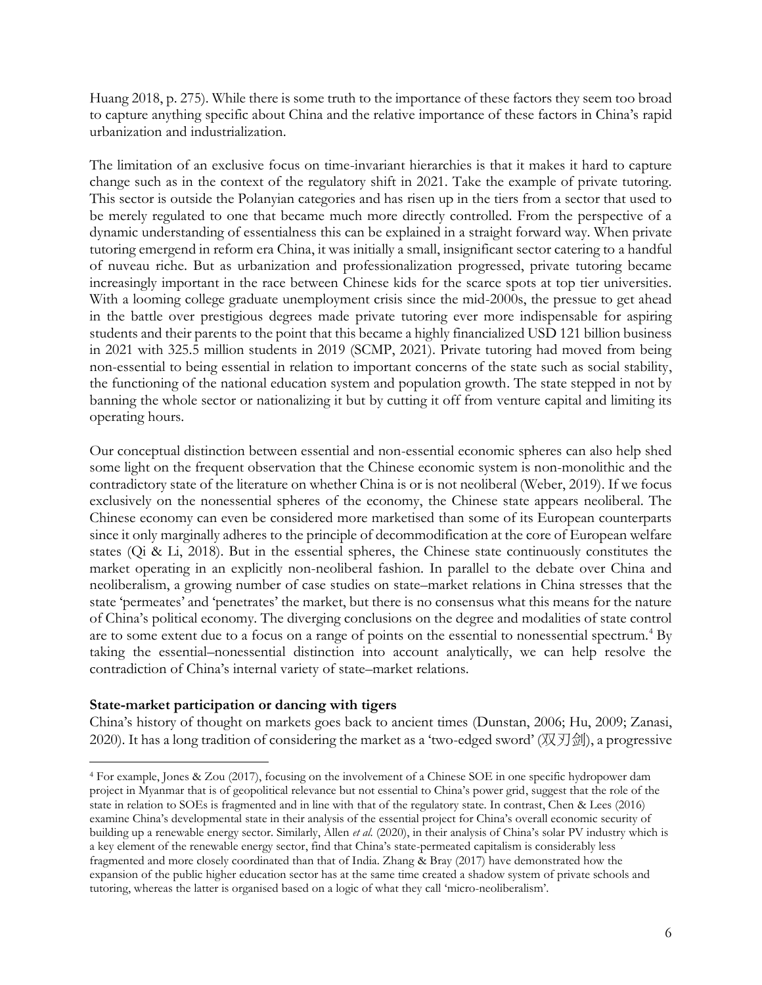Huang 2018, p. 275). While there is some truth to the importance of these factors they seem too broad to capture anything specific about China and the relative importance of these factors in China's rapid urbanization and industrialization.

The limitation of an exclusive focus on time-invariant hierarchies is that it makes it hard to capture change such as in the context of the regulatory shift in 2021. Take the example of private tutoring. This sector is outside the Polanyian categories and has risen up in the tiers from a sector that used to be merely regulated to one that became much more directly controlled. From the perspective of a dynamic understanding of essentialness this can be explained in a straight forward way. When private tutoring emergend in reform era China, it was initially a small, insignificant sector catering to a handful of nuveau riche. But as urbanization and professionalization progressed, private tutoring became increasingly important in the race between Chinese kids for the scarce spots at top tier universities. With a looming college graduate unemployment crisis since the mid-2000s, the pressue to get ahead in the battle over prestigious degrees made private tutoring ever more indispensable for aspiring students and their parents to the point that this became a highly financialized USD 121 billion business in 2021 with 325.5 million students in 2019 (SCMP, 2021). Private tutoring had moved from being non-essential to being essential in relation to important concerns of the state such as social stability, the functioning of the national education system and population growth. The state stepped in not by banning the whole sector or nationalizing it but by cutting it off from venture capital and limiting its operating hours.

Our conceptual distinction between essential and non-essential economic spheres can also help shed some light on the frequent observation that the Chinese economic system is non-monolithic and the contradictory state of the literature on whether China is or is not neoliberal (Weber, 2019). If we focus exclusively on the nonessential spheres of the economy, the Chinese state appears neoliberal. The Chinese economy can even be considered more marketised than some of its European counterparts since it only marginally adheres to the principle of decommodification at the core of European welfare states (Qi & Li, 2018). But in the essential spheres, the Chinese state continuously constitutes the market operating in an explicitly non-neoliberal fashion. In parallel to the debate over China and neoliberalism, a growing number of case studies on state–market relations in China stresses that the state 'permeates' and 'penetrates' the market, but there is no consensus what this means for the nature of China's political economy. The diverging conclusions on the degree and modalities of state control are to some extent due to a focus on a range of points on the essential to nonessential spectrum.<sup>4</sup> By taking the essential–nonessential distinction into account analytically, we can help resolve the contradiction of China's internal variety of state–market relations.

#### **State-market participation or dancing with tigers**

China's history of thought on markets goes back to ancient times (Dunstan, 2006; Hu, 2009; Zanasi, 2020). It has a long tradition of considering the market as a 'two-edged sword' (双刀剑), a progressive

<sup>4</sup> For example, Jones & Zou (2017), focusing on the involvement of a Chinese SOE in one specific hydropower dam project in Myanmar that is of geopolitical relevance but not essential to China's power grid, suggest that the role of the state in relation to SOEs is fragmented and in line with that of the regulatory state. In contrast, Chen & Lees (2016) examine China's developmental state in their analysis of the essential project for China's overall economic security of building up a renewable energy sector. Similarly, Allen *et al*. (2020), in their analysis of China's solar PV industry which is a key element of the renewable energy sector, find that China's state-permeated capitalism is considerably less fragmented and more closely coordinated than that of India. Zhang & Bray (2017) have demonstrated how the expansion of the public higher education sector has at the same time created a shadow system of private schools and tutoring, whereas the latter is organised based on a logic of what they call 'micro-neoliberalism'.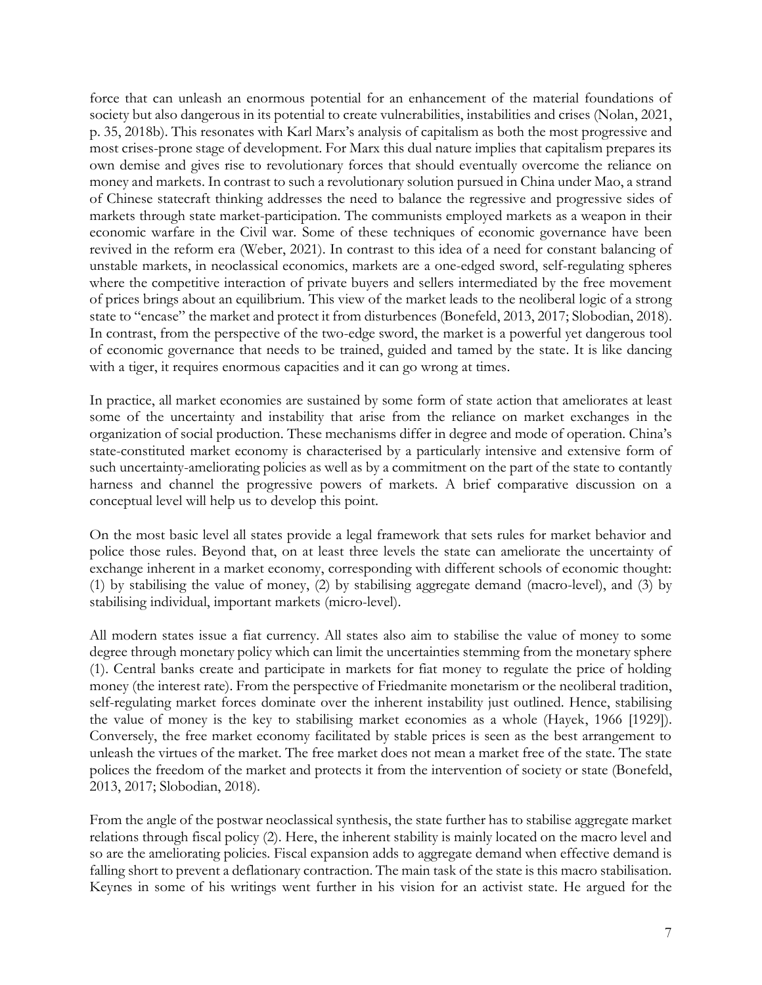force that can unleash an enormous potential for an enhancement of the material foundations of society but also dangerous in its potential to create vulnerabilities, instabilities and crises (Nolan, 2021, p. 35, 2018b). This resonates with Karl Marx's analysis of capitalism as both the most progressive and most crises-prone stage of development. For Marx this dual nature implies that capitalism prepares its own demise and gives rise to revolutionary forces that should eventually overcome the reliance on money and markets. In contrast to such a revolutionary solution pursued in China under Mao, a strand of Chinese statecraft thinking addresses the need to balance the regressive and progressive sides of markets through state market-participation. The communists employed markets as a weapon in their economic warfare in the Civil war. Some of these techniques of economic governance have been revived in the reform era (Weber, 2021). In contrast to this idea of a need for constant balancing of unstable markets, in neoclassical economics, markets are a one-edged sword, self-regulating spheres where the competitive interaction of private buyers and sellers intermediated by the free movement of prices brings about an equilibrium. This view of the market leads to the neoliberal logic of a strong state to "encase" the market and protect it from disturbences (Bonefeld, 2013, 2017; Slobodian, 2018). In contrast, from the perspective of the two-edge sword, the market is a powerful yet dangerous tool of economic governance that needs to be trained, guided and tamed by the state. It is like dancing with a tiger, it requires enormous capacities and it can go wrong at times.

In practice, all market economies are sustained by some form of state action that ameliorates at least some of the uncertainty and instability that arise from the reliance on market exchanges in the organization of social production. These mechanisms differ in degree and mode of operation. China's state-constituted market economy is characterised by a particularly intensive and extensive form of such uncertainty-ameliorating policies as well as by a commitment on the part of the state to contantly harness and channel the progressive powers of markets. A brief comparative discussion on a conceptual level will help us to develop this point.

On the most basic level all states provide a legal framework that sets rules for market behavior and police those rules. Beyond that, on at least three levels the state can ameliorate the uncertainty of exchange inherent in a market economy, corresponding with different schools of economic thought: (1) by stabilising the value of money, (2) by stabilising aggregate demand (macro-level), and (3) by stabilising individual, important markets (micro-level).

All modern states issue a fiat currency. All states also aim to stabilise the value of money to some degree through monetary policy which can limit the uncertainties stemming from the monetary sphere (1). Central banks create and participate in markets for fiat money to regulate the price of holding money (the interest rate). From the perspective of Friedmanite monetarism or the neoliberal tradition, self-regulating market forces dominate over the inherent instability just outlined. Hence, stabilising the value of money is the key to stabilising market economies as a whole (Hayek, 1966 [1929]). Conversely, the free market economy facilitated by stable prices is seen as the best arrangement to unleash the virtues of the market. The free market does not mean a market free of the state. The state polices the freedom of the market and protects it from the intervention of society or state (Bonefeld, 2013, 2017; Slobodian, 2018).

From the angle of the postwar neoclassical synthesis, the state further has to stabilise aggregate market relations through fiscal policy (2). Here, the inherent stability is mainly located on the macro level and so are the ameliorating policies. Fiscal expansion adds to aggregate demand when effective demand is falling short to prevent a deflationary contraction. The main task of the state is this macro stabilisation. Keynes in some of his writings went further in his vision for an activist state. He argued for the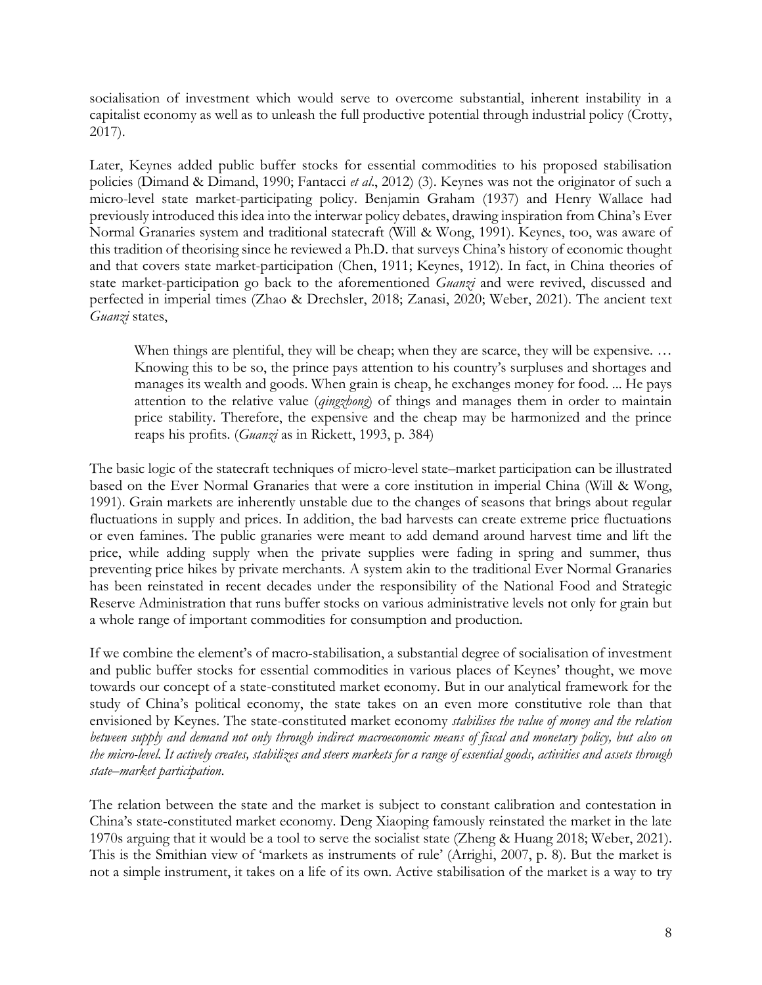socialisation of investment which would serve to overcome substantial, inherent instability in a capitalist economy as well as to unleash the full productive potential through industrial policy (Crotty, 2017).

Later, Keynes added public buffer stocks for essential commodities to his proposed stabilisation policies (Dimand & Dimand, 1990; Fantacci *et al*., 2012) (3). Keynes was not the originator of such a micro-level state market-participating policy. Benjamin Graham (1937) and Henry Wallace had previously introduced this idea into the interwar policy debates, drawing inspiration from China's Ever Normal Granaries system and traditional statecraft (Will & Wong, 1991). Keynes, too, was aware of this tradition of theorising since he reviewed a Ph.D. that surveys China's history of economic thought and that covers state market-participation (Chen, 1911; Keynes, 1912). In fact, in China theories of state market-participation go back to the aforementioned *Guanzi* and were revived, discussed and perfected in imperial times (Zhao & Drechsler, 2018; Zanasi, 2020; Weber, 2021). The ancient text *Guanzi* states,

When things are plentiful, they will be cheap; when they are scarce, they will be expensive. ... Knowing this to be so, the prince pays attention to his country's surpluses and shortages and manages its wealth and goods. When grain is cheap, he exchanges money for food. ... He pays attention to the relative value (*qingzhong*) of things and manages them in order to maintain price stability. Therefore, the expensive and the cheap may be harmonized and the prince reaps his profits. (*Guanzi* as in Rickett, 1993, p. 384)

The basic logic of the statecraft techniques of micro-level state–market participation can be illustrated based on the Ever Normal Granaries that were a core institution in imperial China (Will & Wong, 1991). Grain markets are inherently unstable due to the changes of seasons that brings about regular fluctuations in supply and prices. In addition, the bad harvests can create extreme price fluctuations or even famines. The public granaries were meant to add demand around harvest time and lift the price, while adding supply when the private supplies were fading in spring and summer, thus preventing price hikes by private merchants. A system akin to the traditional Ever Normal Granaries has been reinstated in recent decades under the responsibility of the National Food and Strategic Reserve Administration that runs buffer stocks on various administrative levels not only for grain but a whole range of important commodities for consumption and production.

If we combine the element's of macro-stabilisation, a substantial degree of socialisation of investment and public buffer stocks for essential commodities in various places of Keynes' thought, we move towards our concept of a state-constituted market economy. But in our analytical framework for the study of China's political economy, the state takes on an even more constitutive role than that envisioned by Keynes. The state-constituted market economy *stabilises the value of money and the relation between supply and demand not only through indirect macroeconomic means of fiscal and monetary policy, but also on the micro-level. It actively creates, stabilizes and steers markets for a range of essential goods, activities and assets through state–market participation*.

The relation between the state and the market is subject to constant calibration and contestation in China's state-constituted market economy. Deng Xiaoping famously reinstated the market in the late 1970s arguing that it would be a tool to serve the socialist state (Zheng & Huang 2018; Weber, 2021). This is the Smithian view of 'markets as instruments of rule' (Arrighi, 2007, p. 8). But the market is not a simple instrument, it takes on a life of its own. Active stabilisation of the market is a way to try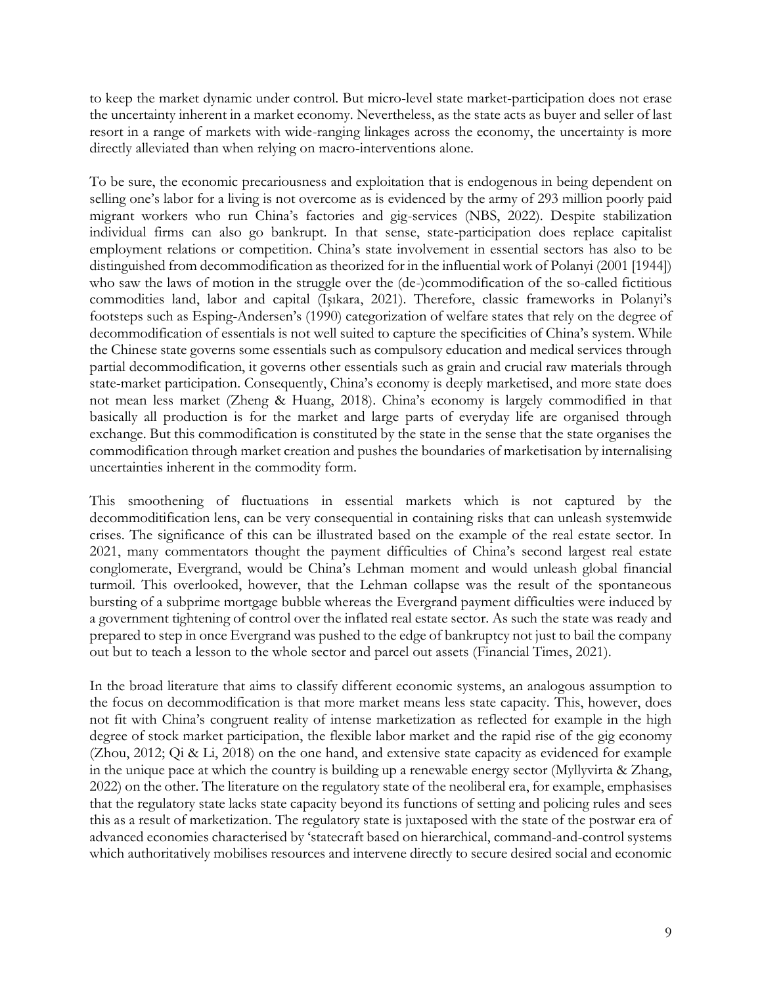to keep the market dynamic under control. But micro-level state market-participation does not erase the uncertainty inherent in a market economy. Nevertheless, as the state acts as buyer and seller of last resort in a range of markets with wide-ranging linkages across the economy, the uncertainty is more directly alleviated than when relying on macro-interventions alone.

To be sure, the economic precariousness and exploitation that is endogenous in being dependent on selling one's labor for a living is not overcome as is evidenced by the army of 293 million poorly paid migrant workers who run China's factories and gig-services (NBS, 2022). Despite stabilization individual firms can also go bankrupt. In that sense, state-participation does replace capitalist employment relations or competition. China's state involvement in essential sectors has also to be distinguished from decommodification as theorized for in the influential work of Polanyi (2001 [1944]) who saw the laws of motion in the struggle over the (de-)commodification of the so-called fictitious commodities land, labor and capital (Işıkara, 2021). Therefore, classic frameworks in Polanyi's footsteps such as Esping-Andersen's (1990) categorization of welfare states that rely on the degree of decommodification of essentials is not well suited to capture the specificities of China's system. While the Chinese state governs some essentials such as compulsory education and medical services through partial decommodification, it governs other essentials such as grain and crucial raw materials through state-market participation. Consequently, China's economy is deeply marketised, and more state does not mean less market (Zheng & Huang, 2018). China's economy is largely commodified in that basically all production is for the market and large parts of everyday life are organised through exchange. But this commodification is constituted by the state in the sense that the state organises the commodification through market creation and pushes the boundaries of marketisation by internalising uncertainties inherent in the commodity form.

This smoothening of fluctuations in essential markets which is not captured by the decommoditification lens, can be very consequential in containing risks that can unleash systemwide crises. The significance of this can be illustrated based on the example of the real estate sector. In 2021, many commentators thought the payment difficulties of China's second largest real estate conglomerate, Evergrand, would be China's Lehman moment and would unleash global financial turmoil. This overlooked, however, that the Lehman collapse was the result of the spontaneous bursting of a subprime mortgage bubble whereas the Evergrand payment difficulties were induced by a government tightening of control over the inflated real estate sector. As such the state was ready and prepared to step in once Evergrand was pushed to the edge of bankruptcy not just to bail the company out but to teach a lesson to the whole sector and parcel out assets (Financial Times, 2021).

In the broad literature that aims to classify different economic systems, an analogous assumption to the focus on decommodification is that more market means less state capacity. This, however, does not fit with China's congruent reality of intense marketization as reflected for example in the high degree of stock market participation, the flexible labor market and the rapid rise of the gig economy (Zhou, 2012; Qi & Li, 2018) on the one hand, and extensive state capacity as evidenced for example in the unique pace at which the country is building up a renewable energy sector (Myllyvirta & Zhang, 2022) on the other. The literature on the regulatory state of the neoliberal era, for example, emphasises that the regulatory state lacks state capacity beyond its functions of setting and policing rules and sees this as a result of marketization. The regulatory state is juxtaposed with the state of the postwar era of advanced economies characterised by 'statecraft based on hierarchical, command-and-control systems which authoritatively mobilises resources and intervene directly to secure desired social and economic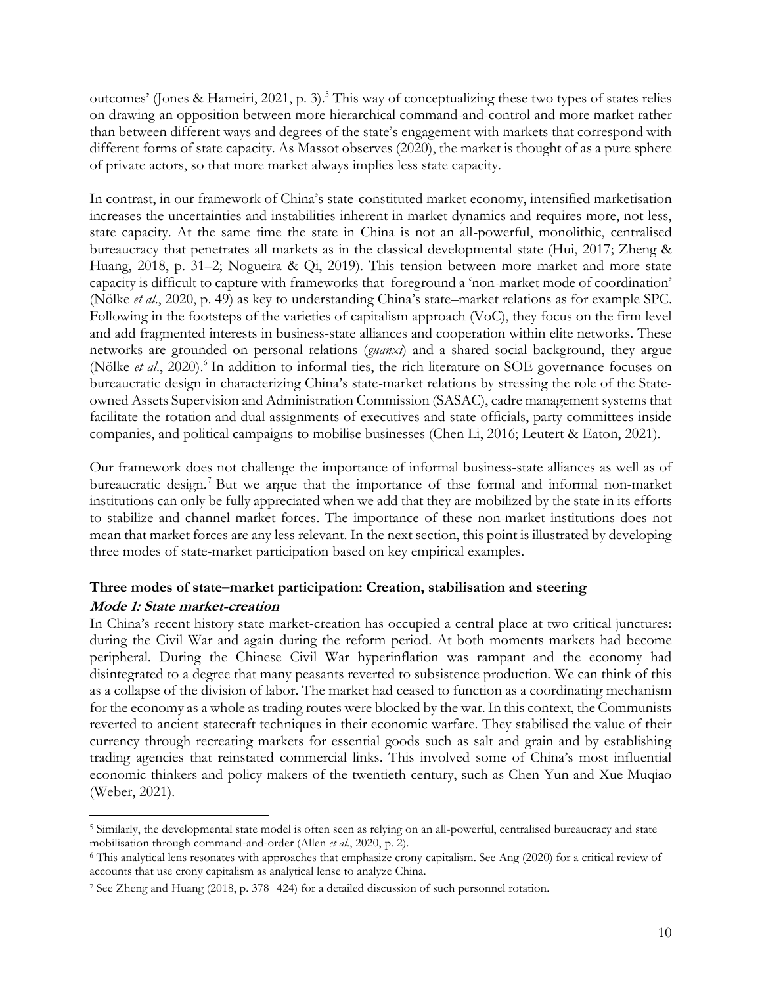outcomes' (Jones & Hameiri, 2021, p. 3).<sup>5</sup> This way of conceptualizing these two types of states relies on drawing an opposition between more hierarchical command-and-control and more market rather than between different ways and degrees of the state's engagement with markets that correspond with different forms of state capacity. As Massot observes (2020), the market is thought of as a pure sphere of private actors, so that more market always implies less state capacity.

In contrast, in our framework of China's state-constituted market economy, intensified marketisation increases the uncertainties and instabilities inherent in market dynamics and requires more, not less, state capacity. At the same time the state in China is not an all-powerful, monolithic, centralised bureaucracy that penetrates all markets as in the classical developmental state (Hui, 2017; Zheng & Huang, 2018, p. 31–2; Nogueira & Qi, 2019). This tension between more market and more state capacity is difficult to capture with frameworks that foreground a 'non-market mode of coordination' (Nölke *et al*., 2020, p. 49) as key to understanding China's state–market relations as for example SPC. Following in the footsteps of the varieties of capitalism approach (VoC), they focus on the firm level and add fragmented interests in business-state alliances and cooperation within elite networks. These networks are grounded on personal relations (*guanxi*) and a shared social background, they argue (Nölke et al., 2020).<sup>6</sup> In addition to informal ties, the rich literature on SOE governance focuses on bureaucratic design in characterizing China's state-market relations by stressing the role of the Stateowned Assets Supervision and Administration Commission (SASAC), cadre management systems that facilitate the rotation and dual assignments of executives and state officials, party committees inside companies, and political campaigns to mobilise businesses (Chen Li, 2016; Leutert & Eaton, 2021).

Our framework does not challenge the importance of informal business-state alliances as well as of bureaucratic design.<sup>7</sup> But we argue that the importance of thse formal and informal non-market institutions can only be fully appreciated when we add that they are mobilized by the state in its efforts to stabilize and channel market forces. The importance of these non-market institutions does not mean that market forces are any less relevant. In the next section, this point is illustrated by developing three modes of state-market participation based on key empirical examples.

#### **Three modes of state–market participation: Creation, stabilisation and steering Mode 1: State market-creation**

In China's recent history state market-creation has occupied a central place at two critical junctures: during the Civil War and again during the reform period. At both moments markets had become peripheral. During the Chinese Civil War hyperinflation was rampant and the economy had disintegrated to a degree that many peasants reverted to subsistence production. We can think of this as a collapse of the division of labor. The market had ceased to function as a coordinating mechanism for the economy as a whole as trading routes were blocked by the war. In this context, the Communists reverted to ancient statecraft techniques in their economic warfare. They stabilised the value of their currency through recreating markets for essential goods such as salt and grain and by establishing trading agencies that reinstated commercial links. This involved some of China's most influential economic thinkers and policy makers of the twentieth century, such as Chen Yun and Xue Muqiao (Weber, 2021).

<sup>5</sup> Similarly, the developmental state model is often seen as relying on an all-powerful, centralised bureaucracy and state mobilisation through command-and-order (Allen *et al*., 2020, p. 2).

<sup>6</sup> This analytical lens resonates with approaches that emphasize crony capitalism. See Ang (2020) for a critical review of accounts that use crony capitalism as analytical lense to analyze China.

<sup>7</sup> See Zheng and Huang (2018, p. 378–424) for a detailed discussion of such personnel rotation.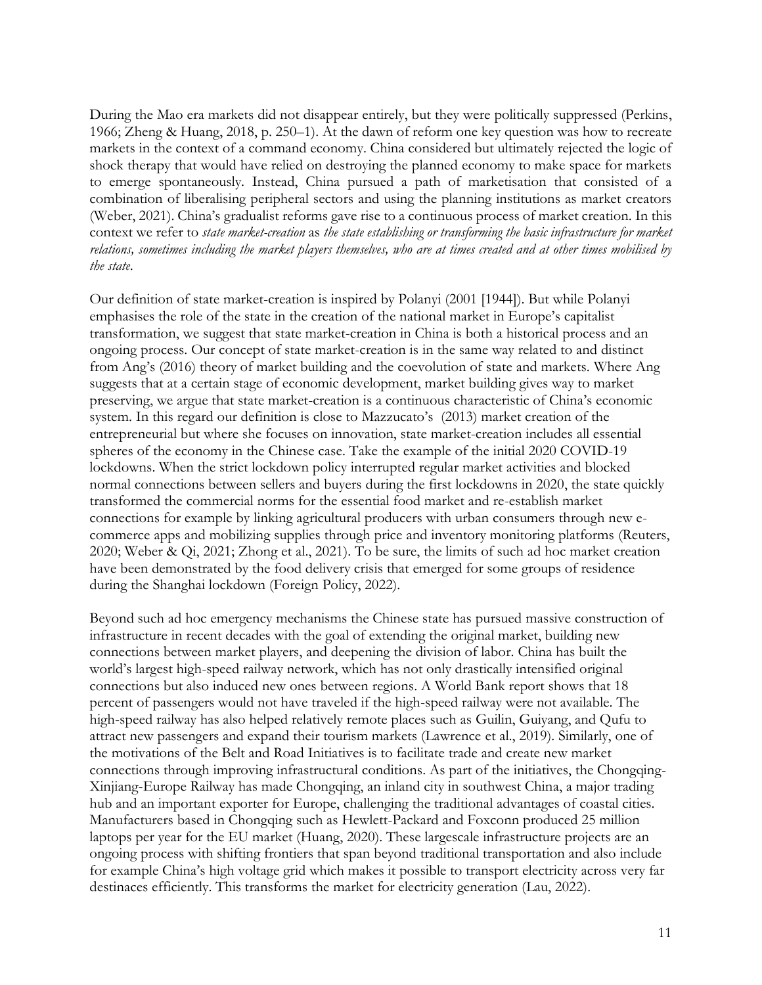During the Mao era markets did not disappear entirely, but they were politically suppressed (Perkins, 1966; Zheng & Huang, 2018, p. 250–1). At the dawn of reform one key question was how to recreate markets in the context of a command economy. China considered but ultimately rejected the logic of shock therapy that would have relied on destroying the planned economy to make space for markets to emerge spontaneously. Instead, China pursued a path of marketisation that consisted of a combination of liberalising peripheral sectors and using the planning institutions as market creators (Weber, 2021). China's gradualist reforms gave rise to a continuous process of market creation. In this context we refer to *state market-creation* as *the state establishing or transforming the basic infrastructure for market relations, sometimes including the market players themselves, who are at times created and at other times mobilised by the state*.

Our definition of state market-creation is inspired by Polanyi (2001 [1944]). But while Polanyi emphasises the role of the state in the creation of the national market in Europe's capitalist transformation, we suggest that state market-creation in China is both a historical process and an ongoing process. Our concept of state market-creation is in the same way related to and distinct from Ang's (2016) theory of market building and the coevolution of state and markets. Where Ang suggests that at a certain stage of economic development, market building gives way to market preserving, we argue that state market-creation is a continuous characteristic of China's economic system. In this regard our definition is close to Mazzucato's (2013) market creation of the entrepreneurial but where she focuses on innovation, state market-creation includes all essential spheres of the economy in the Chinese case. Take the example of the initial 2020 COVID-19 lockdowns. When the strict lockdown policy interrupted regular market activities and blocked normal connections between sellers and buyers during the first lockdowns in 2020, the state quickly transformed the commercial norms for the essential food market and re-establish market connections for example by linking agricultural producers with urban consumers through new ecommerce apps and mobilizing supplies through price and inventory monitoring platforms (Reuters, 2020; Weber & Qi, 2021; Zhong et al., 2021). To be sure, the limits of such ad hoc market creation have been demonstrated by the food delivery crisis that emerged for some groups of residence during the Shanghai lockdown (Foreign Policy, 2022).

Beyond such ad hoc emergency mechanisms the Chinese state has pursued massive construction of infrastructure in recent decades with the goal of extending the original market, building new connections between market players, and deepening the division of labor. China has built the world's largest high-speed railway network, which has not only drastically intensified original connections but also induced new ones between regions. A World Bank report shows that 18 percent of passengers would not have traveled if the high-speed railway were not available. The high-speed railway has also helped relatively remote places such as Guilin, Guiyang, and Qufu to attract new passengers and expand their tourism markets (Lawrence et al., 2019). Similarly, one of the motivations of the Belt and Road Initiatives is to facilitate trade and create new market connections through improving infrastructural conditions. As part of the initiatives, the Chongqing-Xinjiang-Europe Railway has made Chongqing, an inland city in southwest China, a major trading hub and an important exporter for Europe, challenging the traditional advantages of coastal cities. Manufacturers based in Chongqing such as Hewlett-Packard and Foxconn produced 25 million laptops per year for the EU market (Huang, 2020). These largescale infrastructure projects are an ongoing process with shifting frontiers that span beyond traditional transportation and also include for example China's high voltage grid which makes it possible to transport electricity across very far destinaces efficiently. This transforms the market for electricity generation (Lau, 2022).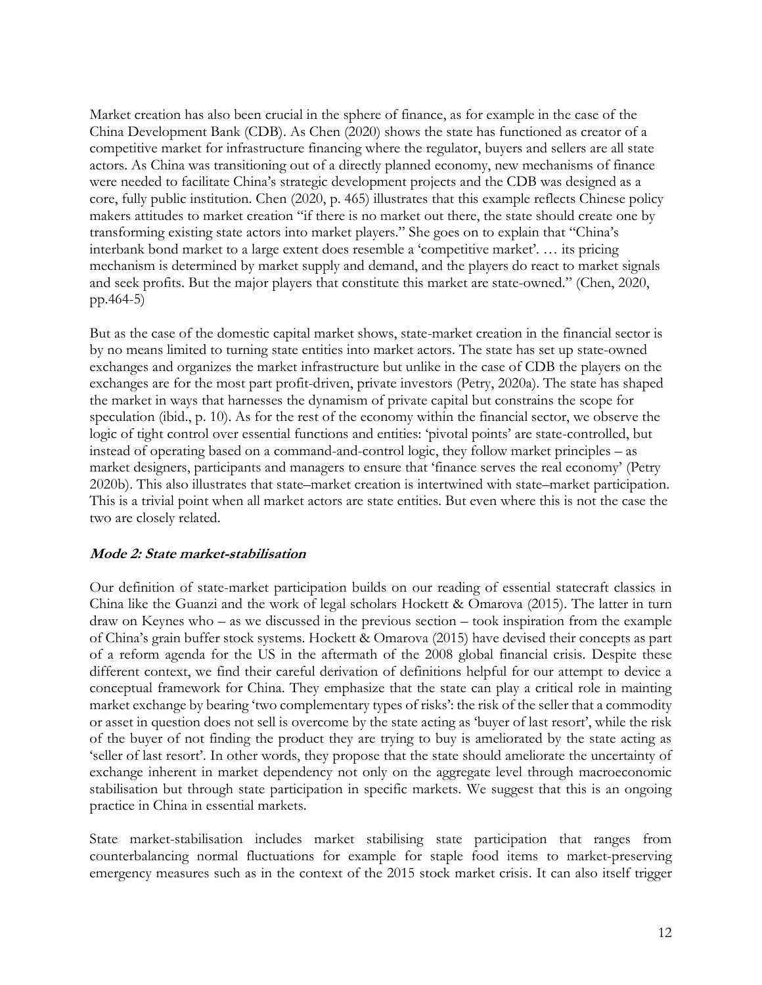Market creation has also been crucial in the sphere of finance, as for example in the case of the China Development Bank (CDB). As Chen (2020) shows the state has functioned as creator of a competitive market for infrastructure financing where the regulator, buyers and sellers are all state actors. As China was transitioning out of a directly planned economy, new mechanisms of finance were needed to facilitate China's strategic development projects and the CDB was designed as a core, fully public institution. Chen (2020, p. 465) illustrates that this example reflects Chinese policy makers attitudes to market creation "if there is no market out there, the state should create one by transforming existing state actors into market players." She goes on to explain that "China's interbank bond market to a large extent does resemble a 'competitive market'. … its pricing mechanism is determined by market supply and demand, and the players do react to market signals and seek profits. But the major players that constitute this market are state-owned." (Chen, 2020, pp.464-5)

But as the case of the domestic capital market shows, state-market creation in the financial sector is by no means limited to turning state entities into market actors. The state has set up state-owned exchanges and organizes the market infrastructure but unlike in the case of CDB the players on the exchanges are for the most part profit-driven, private investors (Petry, 2020a). The state has shaped the market in ways that harnesses the dynamism of private capital but constrains the scope for speculation (ibid., p. 10). As for the rest of the economy within the financial sector, we observe the logic of tight control over essential functions and entities: 'pivotal points' are state-controlled, but instead of operating based on a command-and-control logic, they follow market principles – as market designers, participants and managers to ensure that 'finance serves the real economy' (Petry 2020b). This also illustrates that state–market creation is intertwined with state–market participation. This is a trivial point when all market actors are state entities. But even where this is not the case the two are closely related.

#### **Mode 2: State market-stabilisation**

Our definition of state-market participation builds on our reading of essential statecraft classics in China like the Guanzi and the work of legal scholars Hockett & Omarova (2015). The latter in turn draw on Keynes who – as we discussed in the previous section – took inspiration from the example of China's grain buffer stock systems. Hockett & Omarova (2015) have devised their concepts as part of a reform agenda for the US in the aftermath of the 2008 global financial crisis. Despite these different context, we find their careful derivation of definitions helpful for our attempt to device a conceptual framework for China. They emphasize that the state can play a critical role in mainting market exchange by bearing 'two complementary types of risks': the risk of the seller that a commodity or asset in question does not sell is overcome by the state acting as 'buyer of last resort', while the risk of the buyer of not finding the product they are trying to buy is ameliorated by the state acting as 'seller of last resort'. In other words, they propose that the state should ameliorate the uncertainty of exchange inherent in market dependency not only on the aggregate level through macroeconomic stabilisation but through state participation in specific markets. We suggest that this is an ongoing practice in China in essential markets.

State market-stabilisation includes market stabilising state participation that ranges from counterbalancing normal fluctuations for example for staple food items to market-preserving emergency measures such as in the context of the 2015 stock market crisis. It can also itself trigger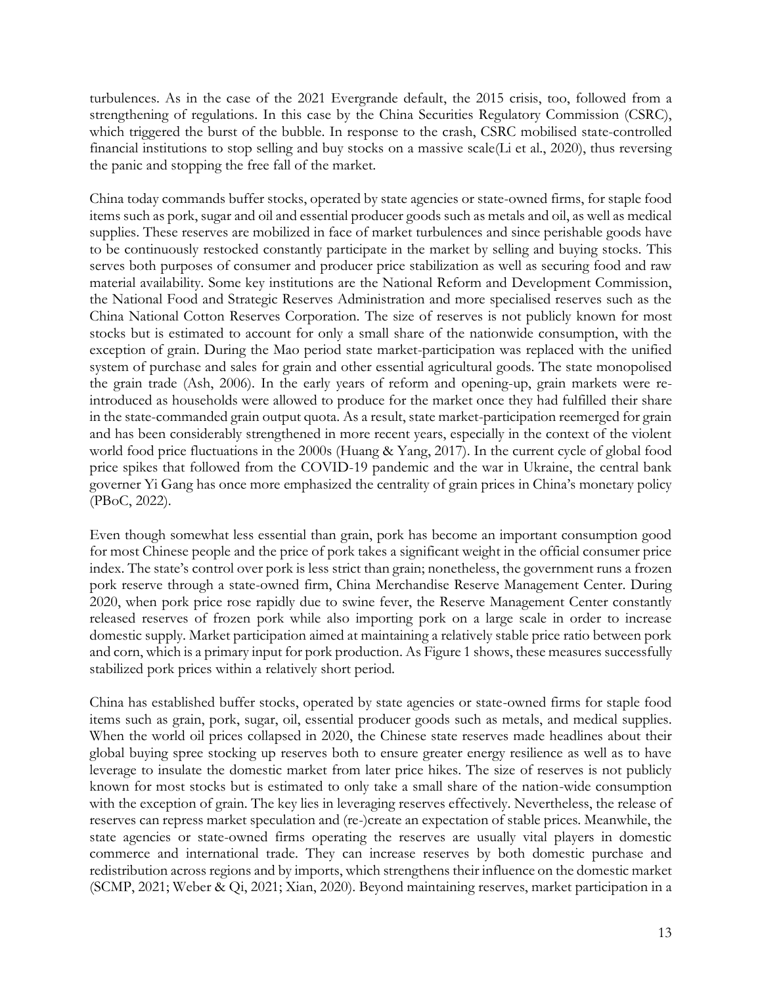turbulences. As in the case of the 2021 Evergrande default, the 2015 crisis, too, followed from a strengthening of regulations. In this case by the China Securities Regulatory Commission (CSRC), which triggered the burst of the bubble. In response to the crash, CSRC mobilised state-controlled financial institutions to stop selling and buy stocks on a massive scale(Li et al., 2020), thus reversing the panic and stopping the free fall of the market.

China today commands buffer stocks, operated by state agencies or state-owned firms, for staple food items such as pork, sugar and oil and essential producer goods such as metals and oil, as well as medical supplies. These reserves are mobilized in face of market turbulences and since perishable goods have to be continuously restocked constantly participate in the market by selling and buying stocks. This serves both purposes of consumer and producer price stabilization as well as securing food and raw material availability. Some key institutions are the National Reform and Development Commission, the National Food and Strategic Reserves Administration and more specialised reserves such as the China National Cotton Reserves Corporation. The size of reserves is not publicly known for most stocks but is estimated to account for only a small share of the nationwide consumption, with the exception of grain. During the Mao period state market-participation was replaced with the unified system of purchase and sales for grain and other essential agricultural goods. The state monopolised the grain trade (Ash, 2006). In the early years of reform and opening-up, grain markets were reintroduced as households were allowed to produce for the market once they had fulfilled their share in the state-commanded grain output quota. As a result, state market-participation reemerged for grain and has been considerably strengthened in more recent years, especially in the context of the violent world food price fluctuations in the 2000s (Huang & Yang, 2017). In the current cycle of global food price spikes that followed from the COVID-19 pandemic and the war in Ukraine, the central bank governer Yi Gang has once more emphasized the centrality of grain prices in China's monetary policy (PBoC, 2022).

Even though somewhat less essential than grain, pork has become an important consumption good for most Chinese people and the price of pork takes a significant weight in the official consumer price index. The state's control over pork is less strict than grain; nonetheless, the government runs a frozen pork reserve through a state-owned firm, China Merchandise Reserve Management Center. During 2020, when pork price rose rapidly due to swine fever, the Reserve Management Center constantly released reserves of frozen pork while also importing pork on a large scale in order to increase domestic supply. Market participation aimed at maintaining a relatively stable price ratio between pork and corn, which is a primary input for pork production. As Figure 1 shows, these measures successfully stabilized pork prices within a relatively short period.

China has established buffer stocks, operated by state agencies or state-owned firms for staple food items such as grain, pork, sugar, oil, essential producer goods such as metals, and medical supplies. When the world oil prices collapsed in 2020, the Chinese state reserves made headlines about their global buying spree stocking up reserves both to ensure greater energy resilience as well as to have leverage to insulate the domestic market from later price hikes. The size of reserves is not publicly known for most stocks but is estimated to only take a small share of the nation-wide consumption with the exception of grain. The key lies in leveraging reserves effectively. Nevertheless, the release of reserves can repress market speculation and (re-)create an expectation of stable prices. Meanwhile, the state agencies or state-owned firms operating the reserves are usually vital players in domestic commerce and international trade. They can increase reserves by both domestic purchase and redistribution across regions and by imports, which strengthens their influence on the domestic market (SCMP, 2021; Weber & Qi, 2021; Xian, 2020). Beyond maintaining reserves, market participation in a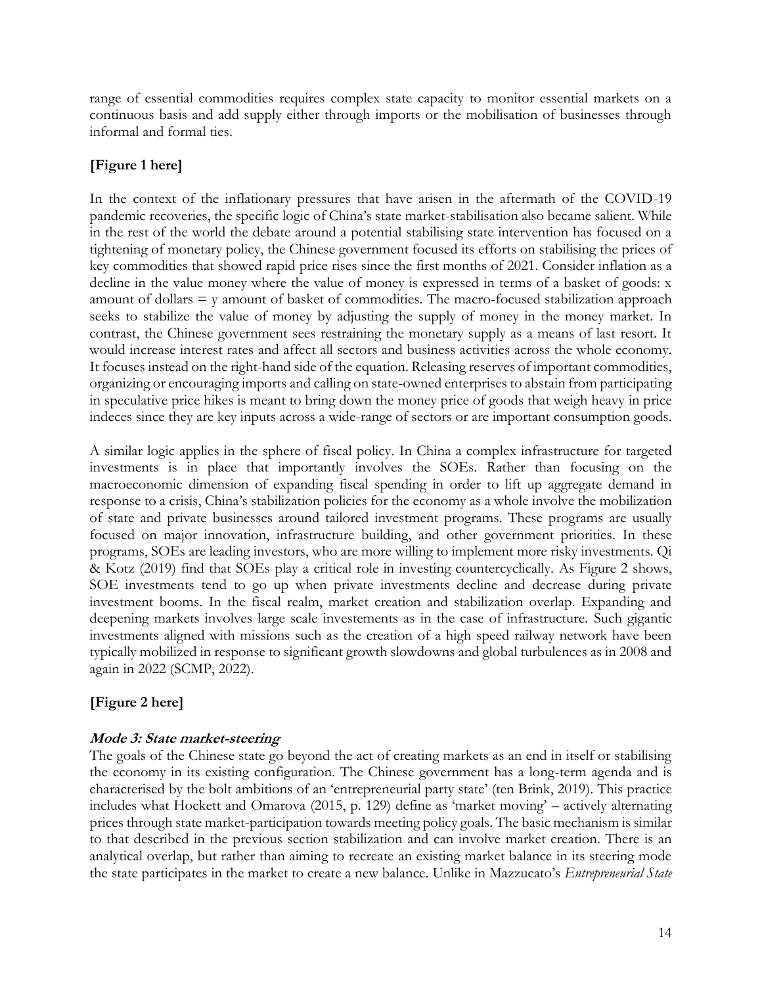range of essential commodities requires complex state capacity to monitor essential markets on a continuous basis and add supply either through imports or the mobilisation of businesses through informal and formal ties.

#### **[Figure 1 here]**

In the context of the inflationary pressures that have arisen in the aftermath of the COVID-19 pandemic recoveries, the specific logic of China's state market-stabilisation also became salient. While in the rest of the world the debate around a potential stabilising state intervention has focused on a tightening of monetary policy, the Chinese government focused its efforts on stabilising the prices of key commodities that showed rapid price rises since the first months of 2021. Consider inflation as a decline in the value money where the value of money is expressed in terms of a basket of goods: x amount of dollars  $=$  y amount of basket of commodities. The macro-focused stabilization approach seeks to stabilize the value of money by adjusting the supply of money in the money market. In contrast, the Chinese government sees restraining the monetary supply as a means of last resort. It would increase interest rates and affect all sectors and business activities across the whole economy. It focuses instead on the right-hand side of the equation. Releasing reserves of important commodities, organizing or encouraging imports and calling on state-owned enterprises to abstain from participating in speculative price hikes is meant to bring down the money price of goods that weigh heavy in price indeces since they are key inputs across a wide-range of sectors or are important consumption goods.

A similar logic applies in the sphere of fiscal policy. In China a complex infrastructure for targeted investments is in place that importantly involves the SOEs. Rather than focusing on the macroeconomic dimension of expanding fiscal spending in order to lift up aggregate demand in response to a crisis, China's stabilization policies for the economy as a whole involve the mobilization of state and private businesses around tailored investment programs. These programs are usually focused on major innovation, infrastructure building, and other government priorities. In these programs, SOEs are leading investors, who are more willing to implement more risky investments. Qi & Kotz (2019) find that SOEs play a critical role in investing countercyclically. As Figure 2 shows, SOE investments tend to go up when private investments decline and decrease during private investment booms. In the fiscal realm, market creation and stabilization overlap. Expanding and deepening markets involves large scale investements as in the case of infrastructure. Such gigantic investments aligned with missions such as the creation of a high speed railway network have been typically mobilized in response to significant growth slowdowns and global turbulences as in 2008 and again in 2022 (SCMP, 2022).

## **[Figure 2 here]**

#### **Mode 3: State market-steering**

The goals of the Chinese state go beyond the act of creating markets as an end in itself or stabilising the economy in its existing configuration. The Chinese government has a long-term agenda and is characterised by the bolt ambitions of an 'entrepreneurial party state' (ten Brink, 2019). This practice includes what Hockett and Omarova (2015, p. 129) define as 'market moving' – actively alternating prices through state market-participation towards meeting policy goals. The basic mechanism is similar to that described in the previous section stabilization and can involve market creation. There is an analytical overlap, but rather than aiming to recreate an existing market balance in its steering mode the state participates in the market to create a new balance. Unlike in Mazzucato's *Entrepreneurial State*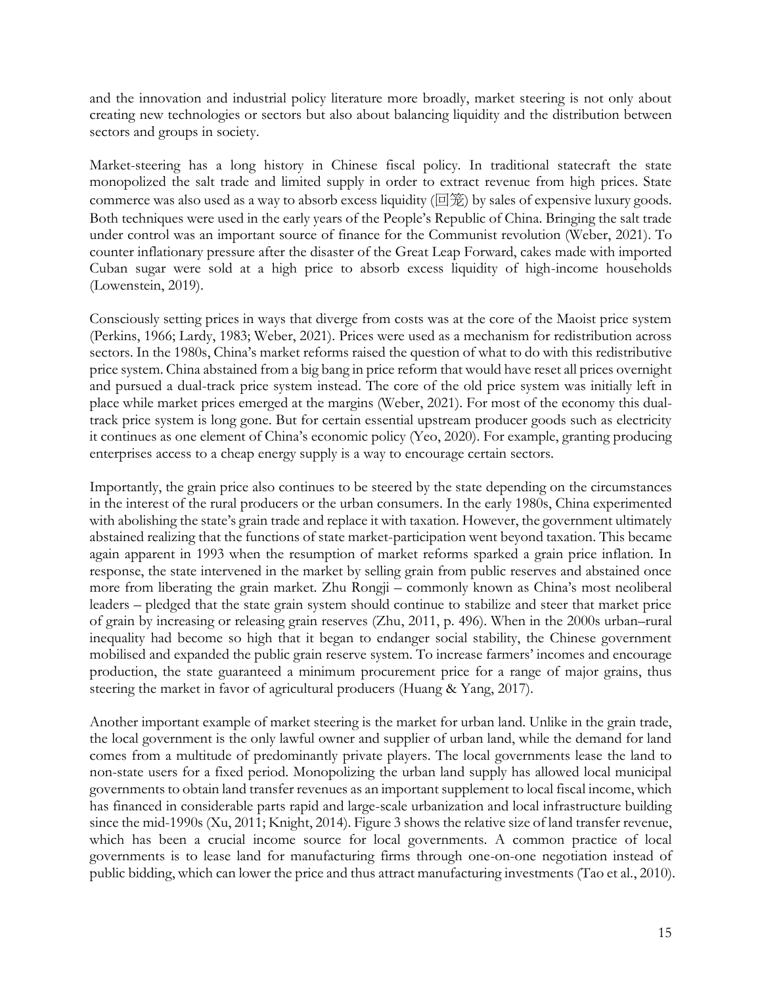and the innovation and industrial policy literature more broadly, market steering is not only about creating new technologies or sectors but also about balancing liquidity and the distribution between sectors and groups in society.

Market-steering has a long history in Chinese fiscal policy. In traditional statecraft the state monopolized the salt trade and limited supply in order to extract revenue from high prices. State commerce was also used as a way to absorb excess liquidity ( $\Box \mathcal{E}$ ) by sales of expensive luxury goods. Both techniques were used in the early years of the People's Republic of China. Bringing the salt trade under control was an important source of finance for the Communist revolution (Weber, 2021). To counter inflationary pressure after the disaster of the Great Leap Forward, cakes made with imported Cuban sugar were sold at a high price to absorb excess liquidity of high-income households (Lowenstein, 2019).

Consciously setting prices in ways that diverge from costs was at the core of the Maoist price system (Perkins, 1966; Lardy, 1983; Weber, 2021). Prices were used as a mechanism for redistribution across sectors. In the 1980s, China's market reforms raised the question of what to do with this redistributive price system. China abstained from a big bang in price reform that would have reset all prices overnight and pursued a dual-track price system instead. The core of the old price system was initially left in place while market prices emerged at the margins (Weber, 2021). For most of the economy this dualtrack price system is long gone. But for certain essential upstream producer goods such as electricity it continues as one element of China's economic policy (Yeo, 2020). For example, granting producing enterprises access to a cheap energy supply is a way to encourage certain sectors.

Importantly, the grain price also continues to be steered by the state depending on the circumstances in the interest of the rural producers or the urban consumers. In the early 1980s, China experimented with abolishing the state's grain trade and replace it with taxation. However, the government ultimately abstained realizing that the functions of state market-participation went beyond taxation. This became again apparent in 1993 when the resumption of market reforms sparked a grain price inflation. In response, the state intervened in the market by selling grain from public reserves and abstained once more from liberating the grain market. Zhu Rongji – commonly known as China's most neoliberal leaders – pledged that the state grain system should continue to stabilize and steer that market price of grain by increasing or releasing grain reserves (Zhu, 2011, p. 496). When in the 2000s urban–rural inequality had become so high that it began to endanger social stability, the Chinese government mobilised and expanded the public grain reserve system. To increase farmers' incomes and encourage production, the state guaranteed a minimum procurement price for a range of major grains, thus steering the market in favor of agricultural producers (Huang & Yang, 2017).

Another important example of market steering is the market for urban land. Unlike in the grain trade, the local government is the only lawful owner and supplier of urban land, while the demand for land comes from a multitude of predominantly private players. The local governments lease the land to non-state users for a fixed period. Monopolizing the urban land supply has allowed local municipal governments to obtain land transfer revenues as an important supplement to local fiscal income, which has financed in considerable parts rapid and large-scale urbanization and local infrastructure building since the mid-1990s (Xu, 2011; Knight, 2014). Figure 3 shows the relative size of land transfer revenue, which has been a crucial income source for local governments. A common practice of local governments is to lease land for manufacturing firms through one-on-one negotiation instead of public bidding, which can lower the price and thus attract manufacturing investments (Tao et al., 2010).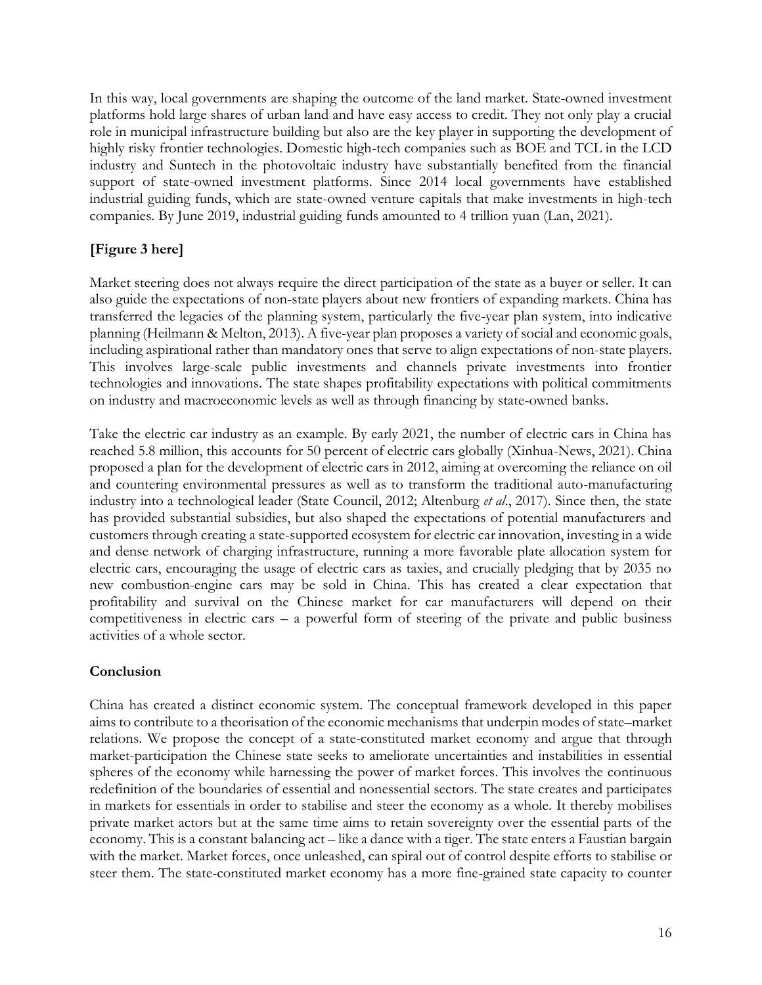In this way, local governments are shaping the outcome of the land market. State-owned investment platforms hold large shares of urban land and have easy access to credit. They not only play a crucial role in municipal infrastructure building but also are the key player in supporting the development of highly risky frontier technologies. Domestic high-tech companies such as BOE and TCL in the LCD industry and Suntech in the photovoltaic industry have substantially benefited from the financial support of state-owned investment platforms. Since 2014 local governments have established industrial guiding funds, which are state-owned venture capitals that make investments in high-tech companies. By June 2019, industrial guiding funds amounted to 4 trillion yuan (Lan, 2021).

### **[Figure 3 here]**

Market steering does not always require the direct participation of the state as a buyer or seller. It can also guide the expectations of non-state players about new frontiers of expanding markets. China has transferred the legacies of the planning system, particularly the five-year plan system, into indicative planning (Heilmann & Melton, 2013). A five-year plan proposes a variety of social and economic goals, including aspirational rather than mandatory ones that serve to align expectations of non-state players. This involves large-scale public investments and channels private investments into frontier technologies and innovations. The state shapes profitability expectations with political commitments on industry and macroeconomic levels as well as through financing by state-owned banks.

Take the electric car industry as an example. By early 2021, the number of electric cars in China has reached 5.8 million, this accounts for 50 percent of electric cars globally (Xinhua-News, 2021). China proposed a plan for the development of electric cars in 2012, aiming at overcoming the reliance on oil and countering environmental pressures as well as to transform the traditional auto-manufacturing industry into a technological leader (State Council, 2012; Altenburg *et al*., 2017). Since then, the state has provided substantial subsidies, but also shaped the expectations of potential manufacturers and customers through creating a state-supported ecosystem for electric car innovation, investing in a wide and dense network of charging infrastructure, running a more favorable plate allocation system for electric cars, encouraging the usage of electric cars as taxies, and crucially pledging that by 2035 no new combustion-engine cars may be sold in China. This has created a clear expectation that profitability and survival on the Chinese market for car manufacturers will depend on their competitiveness in electric cars – a powerful form of steering of the private and public business activities of a whole sector.

#### **Conclusion**

China has created a distinct economic system. The conceptual framework developed in this paper aims to contribute to a theorisation of the economic mechanisms that underpin modes of state–market relations. We propose the concept of a state-constituted market economy and argue that through market-participation the Chinese state seeks to ameliorate uncertainties and instabilities in essential spheres of the economy while harnessing the power of market forces. This involves the continuous redefinition of the boundaries of essential and nonessential sectors. The state creates and participates in markets for essentials in order to stabilise and steer the economy as a whole. It thereby mobilises private market actors but at the same time aims to retain sovereignty over the essential parts of the economy. This is a constant balancing act – like a dance with a tiger. The state enters a Faustian bargain with the market. Market forces, once unleashed, can spiral out of control despite efforts to stabilise or steer them. The state-constituted market economy has a more fine-grained state capacity to counter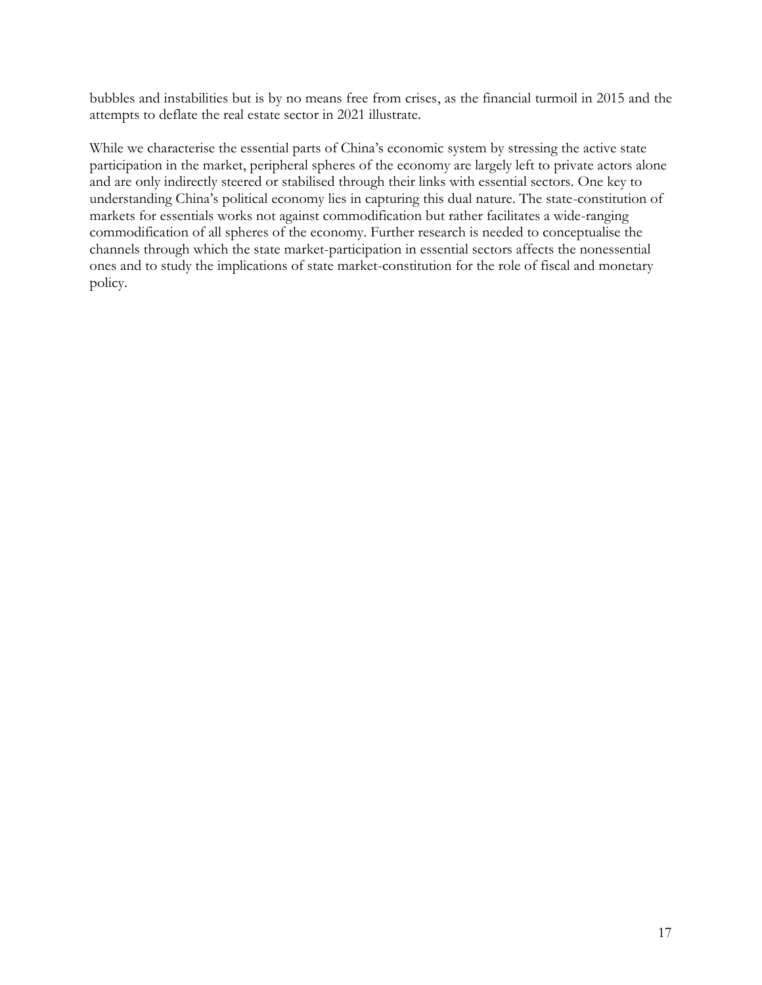bubbles and instabilities but is by no means free from crises, as the financial turmoil in 2015 and the attempts to deflate the real estate sector in 2021 illustrate.

While we characterise the essential parts of China's economic system by stressing the active state participation in the market, peripheral spheres of the economy are largely left to private actors alone and are only indirectly steered or stabilised through their links with essential sectors. One key to understanding China's political economy lies in capturing this dual nature. The state-constitution of markets for essentials works not against commodification but rather facilitates a wide-ranging commodification of all spheres of the economy. Further research is needed to conceptualise the channels through which the state market-participation in essential sectors affects the nonessential ones and to study the implications of state market-constitution for the role of fiscal and monetary policy.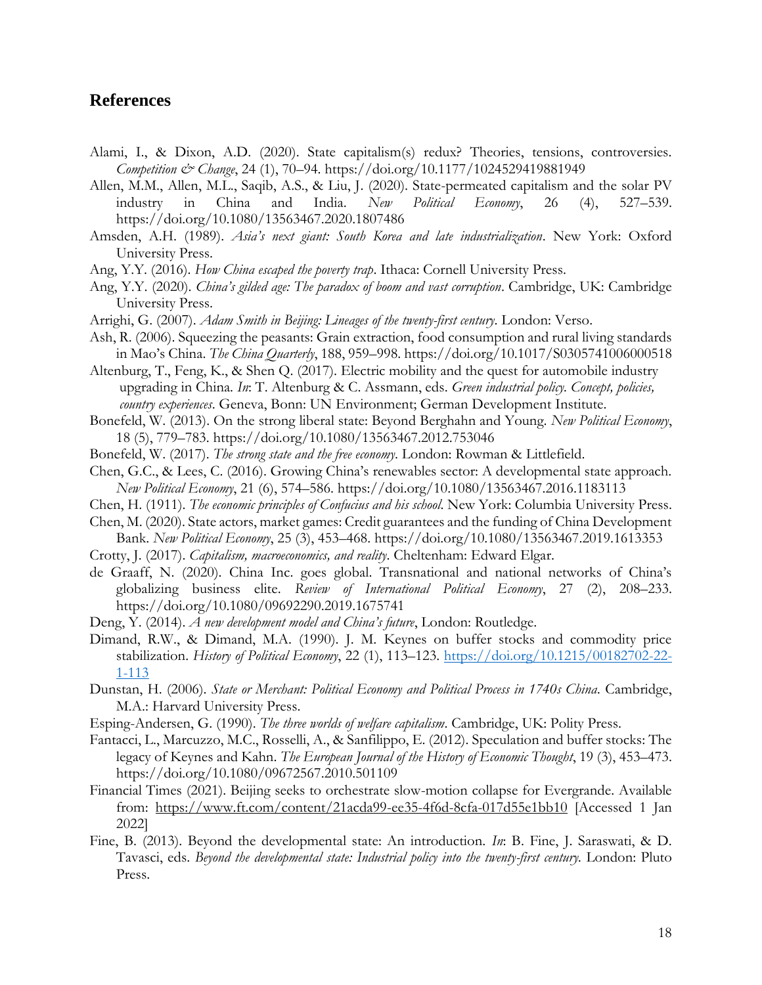#### **References**

- Alami, I., & Dixon, A.D. (2020). State capitalism(s) redux? Theories, tensions, controversies. *Competition & Change*, 24 (1), 70–94. https://doi.org/10.1177/1024529419881949
- Allen, M.M., Allen, M.L., Saqib, A.S., & Liu, J. (2020). State-permeated capitalism and the solar PV industry in China and India. *New Political Economy*, 26 (4), 527–539. https://doi.org/10.1080/13563467.2020.1807486
- Amsden, A.H. (1989). *Asia's next giant: South Korea and late industrialization*. New York: Oxford University Press.
- Ang, Y.Y. (2016). *How China escaped the poverty trap*. Ithaca: Cornell University Press.
- Ang, Y.Y. (2020). *China's gilded age: The paradox of boom and vast corruption*. Cambridge, UK: Cambridge University Press.
- Arrighi, G. (2007). *Adam Smith in Beijing: Lineages of the twenty-first century*. London: Verso.
- Ash, R. (2006). Squeezing the peasants: Grain extraction, food consumption and rural living standards in Mao's China. *The China Quarterly*, 188, 959–998. https://doi.org/10.1017/S0305741006000518

Altenburg, T., Feng, K., & Shen Q. (2017). Electric mobility and the quest for automobile industry upgrading in China. *In*: T. Altenburg & C. Assmann, eds. *Green industrial policy. Concept, policies, country experiences*. Geneva, Bonn: UN Environment; German Development Institute.

- Bonefeld, W. (2013). On the strong liberal state: Beyond Berghahn and Young. *New Political Economy*, 18 (5), 779–783. https://doi.org/10.1080/13563467.2012.753046
- Bonefeld, W. (2017). *The strong state and the free economy*. London: Rowman & Littlefield.
- Chen, G.C., & Lees, C. (2016). Growing China's renewables sector: A developmental state approach. *New Political Economy*, 21 (6), 574–586. https://doi.org/10.1080/13563467.2016.1183113
- Chen, H. (1911). *The economic principles of Confucius and his school*. New York: Columbia University Press.
- Chen, M. (2020). State actors, market games: Credit guarantees and the funding of China Development Bank. *New Political Economy*, 25 (3), 453–468. https://doi.org/10.1080/13563467.2019.1613353
- Crotty, J. (2017). *Capitalism, macroeconomics, and reality*. Cheltenham: Edward Elgar.
- de Graaff, N. (2020). China Inc. goes global. Transnational and national networks of China's globalizing business elite. *Review of International Political Economy*, 27 (2), 208–233. https://doi.org/10.1080/09692290.2019.1675741
- Deng, Y. (2014). *A new development model and China's future*, London: Routledge.
- Dimand, R.W., & Dimand, M.A. (1990). J. M. Keynes on buffer stocks and commodity price stabilization. *History of Political Economy*, 22 (1), 113–123. [https://doi.org/10.1215/00182702-22-](https://doi.org/10.1215/00182702-22-1-113) [1-113](https://doi.org/10.1215/00182702-22-1-113)
- Dunstan, H. (2006). *State or Merchant: Political Economy and Political Process in 1740s China*. Cambridge, M.A.: Harvard University Press.
- Esping-Andersen, G. (1990). *The three worlds of welfare capitalism*. Cambridge, UK: Polity Press.
- Fantacci, L., Marcuzzo, M.C., Rosselli, A., & Sanfilippo, E. (2012). Speculation and buffer stocks: The legacy of Keynes and Kahn. *The European Journal of the History of Economic Thought*, 19 (3), 453–473. https://doi.org/10.1080/09672567.2010.501109
- Financial Times (2021). Beijing seeks to orchestrate slow-motion collapse for Evergrande. Available from: <https://www.ft.com/content/21acda99-ee35-4f6d-8cfa-017d55e1bb10> [Accessed 1 Jan 2022]
- Fine, B. (2013). Beyond the developmental state: An introduction. *In*: B. Fine, J. Saraswati, & D. Tavasci, eds. *Beyond the developmental state: Industrial policy into the twenty-first century.* London: Pluto Press.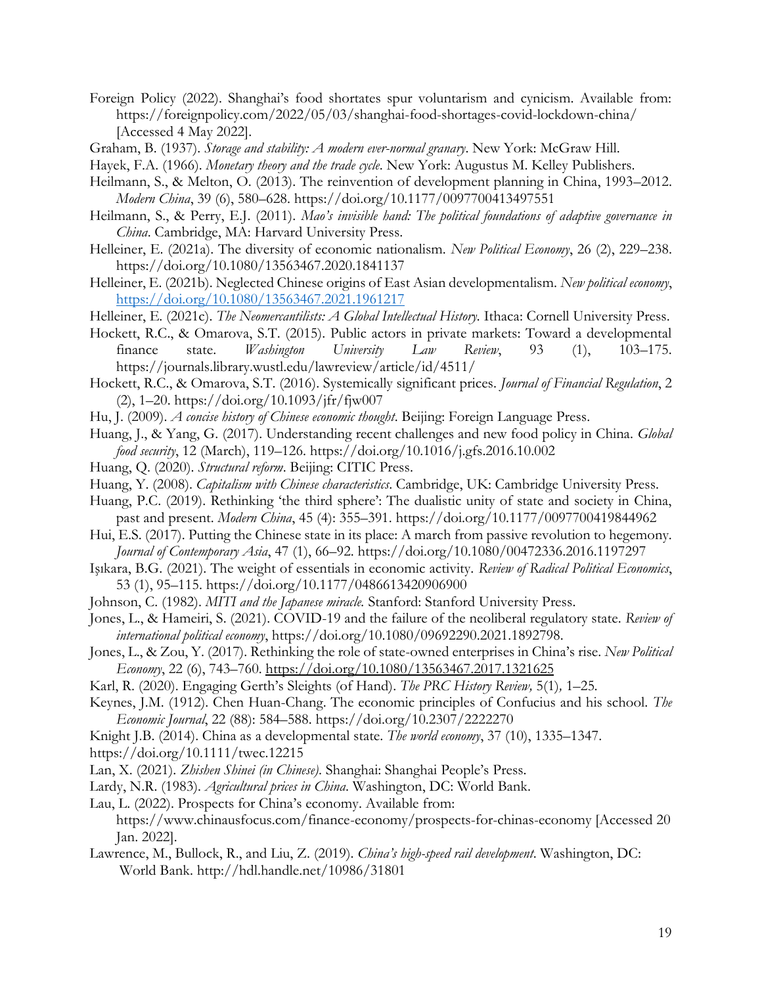- Foreign Policy (2022). Shanghai's food shortates spur voluntarism and cynicism. Available from: https://foreignpolicy.com/2022/05/03/shanghai-food-shortages-covid-lockdown-china/ [Accessed 4 May 2022].
- Graham, B. (1937). *Storage and stability: A modern ever-normal granary*. New York: McGraw Hill.
- Hayek, F.A. (1966). *Monetary theory and the trade cycle*. New York: Augustus M. Kelley Publishers.
- Heilmann, S., & Melton, O. (2013). The reinvention of development planning in China, 1993–2012. *Modern China*, 39 (6), 580–628. https://doi.org/10.1177/0097700413497551
- Heilmann, S., & Perry, E.J. (2011). *Mao's invisible hand: The political foundations of adaptive governance in China*. Cambridge, MA: Harvard University Press.
- Helleiner, E. (2021a). The diversity of economic nationalism. *New Political Economy*, 26 (2), 229–238. https://doi.org/10.1080/13563467.2020.1841137
- Helleiner, E. (2021b). Neglected Chinese origins of East Asian developmentalism. *New political economy*, <https://doi.org/10.1080/13563467.2021.1961217>
- Helleiner, E. (2021c). *The Neomercantilists: A Global Intellectual History*. Ithaca: Cornell University Press.
- Hockett, R.C., & Omarova, S.T. (2015). Public actors in private markets: Toward a developmental finance state. *Washington University Law Review*, 93 (1), 103–175. https://journals.library.wustl.edu/lawreview/article/id/4511/
- Hockett, R.C., & Omarova, S.T. (2016). Systemically significant prices. *Journal of Financial Regulation*, 2  $(2)$ , 1–20. https://doi.org/10.1093/jfr/fjw007
- Hu, J. (2009). *A concise history of Chinese economic thought*. Beijing: Foreign Language Press.
- Huang, J., & Yang, G. (2017). Understanding recent challenges and new food policy in China. *Global food security*, 12 (March), 119–126. https://doi.org/10.1016/j.gfs.2016.10.002
- Huang, Q. (2020). *Structural reform*. Beijing: CITIC Press.
- Huang, Y. (2008). *Capitalism with Chinese characteristics*. Cambridge, UK: Cambridge University Press.
- Huang, P.C. (2019). Rethinking 'the third sphere': The dualistic unity of state and society in China, past and present. *Modern China*, 45 (4): 355–391. https://doi.org/10.1177/0097700419844962
- Hui, E.S. (2017). Putting the Chinese state in its place: A march from passive revolution to hegemony. *Journal of Contemporary Asia*, 47 (1), 66–92. https://doi.org/10.1080/00472336.2016.1197297
- Işıkara, B.G. (2021). The weight of essentials in economic activity. *Review of Radical Political Economics*, 53 (1), 95–115. https://doi.org/10.1177/0486613420906900
- Johnson, C. (1982). *MITI and the Japanese miracle.* Stanford: Stanford University Press.
- Jones, L., & Hameiri, S. (2021). COVID-19 and the failure of the neoliberal regulatory state. *Review of international political economy*, https://doi.org/10.1080/09692290.2021.1892798.
- Jones, L., & Zou, Y. (2017). Rethinking the role of state-owned enterprises in China's rise. *New Political Economy*, 22 (6), 743–760.<https://doi.org/10.1080/13563467.2017.1321625>
- Karl, R. (2020). Engaging Gerth's Sleights (of Hand). *The PRC History Review,* 5(1)*,* 1–25*.*
- Keynes, J.M. (1912). Chen Huan-Chang. The economic principles of Confucius and his school. *The Economic Journal*, 22 (88): 584–588. https://doi.org/10.2307/2222270
- Knight J.B. (2014). China as a developmental state. *The world economy*, 37 (10), 1335–1347.
- https://doi.org/10.1111/twec.12215
- Lan, X. (2021). *Zhishen Shinei (in Chinese)*. Shanghai: Shanghai People's Press.
- Lardy, N.R. (1983). *Agricultural prices in China*. Washington, DC: World Bank.
- Lau, L. (2022). Prospects for China's economy. Available from: https://www.chinausfocus.com/finance-economy/prospects-for-chinas-economy [Accessed 20 Jan. 2022].
- Lawrence, M., Bullock, R., and Liu, Z. (2019). *China's high-speed rail development*. Washington, DC: World Bank. http://hdl.handle.net/10986/31801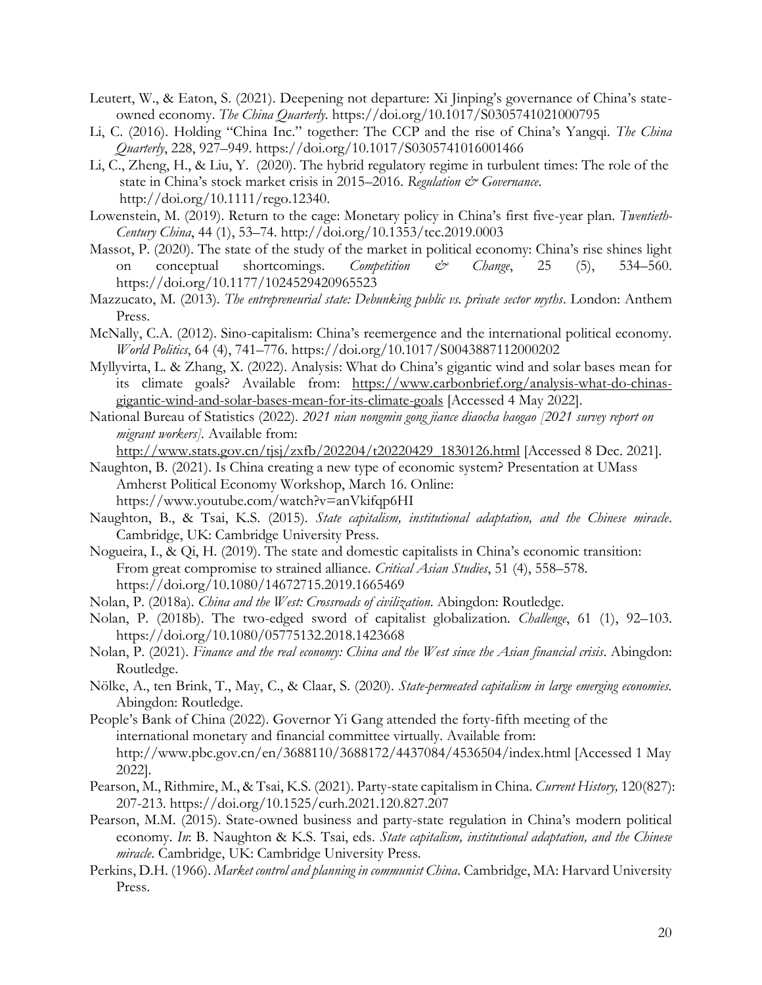- Leutert, W., & Eaton, S. (2021). Deepening not departure: Xi Jinping's governance of China's stateowned economy. *The China Quarterly*. https://doi.org/10.1017/S0305741021000795
- Li, C. (2016). Holding "China Inc." together: The CCP and the rise of China's Yangqi. *The China Quarterly*, 228, 927–949. https://doi.org/10.1017/S0305741016001466
- Li, C., Zheng, H., & Liu, Y. (2020). The hybrid regulatory regime in turbulent times: The role of the state in China's stock market crisis in 2015–2016. Regulation & Governance. http://doi.org/10.1111/rego.12340.
- Lowenstein, M. (2019). Return to the cage: Monetary policy in China's first five-year plan. *Twentieth-Century China*, 44 (1), 53–74. http://doi.org/10.1353/tcc.2019.0003
- Massot, P. (2020). The state of the study of the market in political economy: China's rise shines light on conceptual shortcomings. *Competition & Change*, 25 (5), 534–560. https://doi.org/10.1177/1024529420965523
- Mazzucato, M. (2013). *The entrepreneurial state: Debunking public vs. private sector myths*. London: Anthem Press.
- McNally, C.A. (2012). Sino-capitalism: China's reemergence and the international political economy. *World Politics*, 64 (4), 741–776. https://doi.org/10.1017/S0043887112000202
- Myllyvirta, L. & Zhang, X. (2022). Analysis: What do China's gigantic wind and solar bases mean for its climate goals? Available from: [https://www.carbonbrief.org/analysis-what-do-chinas](https://www.carbonbrief.org/analysis-what-do-chinas-gigantic-wind-and-solar-bases-mean-for-its-climate-goals)[gigantic-wind-and-solar-bases-mean-for-its-climate-goals](https://www.carbonbrief.org/analysis-what-do-chinas-gigantic-wind-and-solar-bases-mean-for-its-climate-goals) [Accessed 4 May 2022].
- National Bureau of Statistics (2022). *2021 nian nongmin gong jiance diaocha baogao [2021 survey report on migrant workers].* Available from:

[http://www.stats.gov.cn/tjsj/zxfb/202204/t20220429\\_1830126.html](http://www.stats.gov.cn/tjsj/zxfb/202204/t20220429_1830126.html) [Accessed 8 Dec. 2021].

Naughton, B. (2021). Is China creating a new type of economic system? Presentation at UMass Amherst Political Economy Workshop, March 16. Online: https://www.youtube.com/watch?v=anVkifqp6HI

- Naughton, B., & Tsai, K.S. (2015). *State capitalism, institutional adaptation, and the Chinese miracle*. Cambridge, UK: Cambridge University Press.
- Nogueira, I., & Qi, H. (2019). The state and domestic capitalists in China's economic transition: From great compromise to strained alliance. *Critical Asian Studies*, 51 (4), 558–578. https://doi.org/10.1080/14672715.2019.1665469
- Nolan, P. (2018a). *China and the West: Crossroads of civilization*. Abingdon: Routledge.
- Nolan, P. (2018b). The two-edged sword of capitalist globalization. *Challenge*, 61 (1), 92–103. https://doi.org/10.1080/05775132.2018.1423668
- Nolan, P. (2021). *Finance and the real economy: China and the West since the Asian financial crisis*. Abingdon: Routledge.
- Nölke, A., ten Brink, T., May, C., & Claar, S. (2020). *State-permeated capitalism in large emerging economies.* Abingdon: Routledge.
- People's Bank of China (2022). Governor Yi Gang attended the forty-fifth meeting of the international monetary and financial committee virtually. Available from: http://www.pbc.gov.cn/en/3688110/3688172/4437084/4536504/index.html [Accessed 1 May 2022].
- Pearson, M., Rithmire, M., & Tsai, K.S. (2021). Party-state capitalism in China. *Current History,* 120(827): 207-213. https://doi.org/10.1525/curh.2021.120.827.207
- Pearson, M.M. (2015). State-owned business and party-state regulation in China's modern political economy. *In*: B. Naughton & K.S. Tsai, eds. *State capitalism, institutional adaptation, and the Chinese miracle*. Cambridge, UK: Cambridge University Press.
- Perkins, D.H. (1966). *Market control and planning in communist China*. Cambridge, MA: Harvard University Press.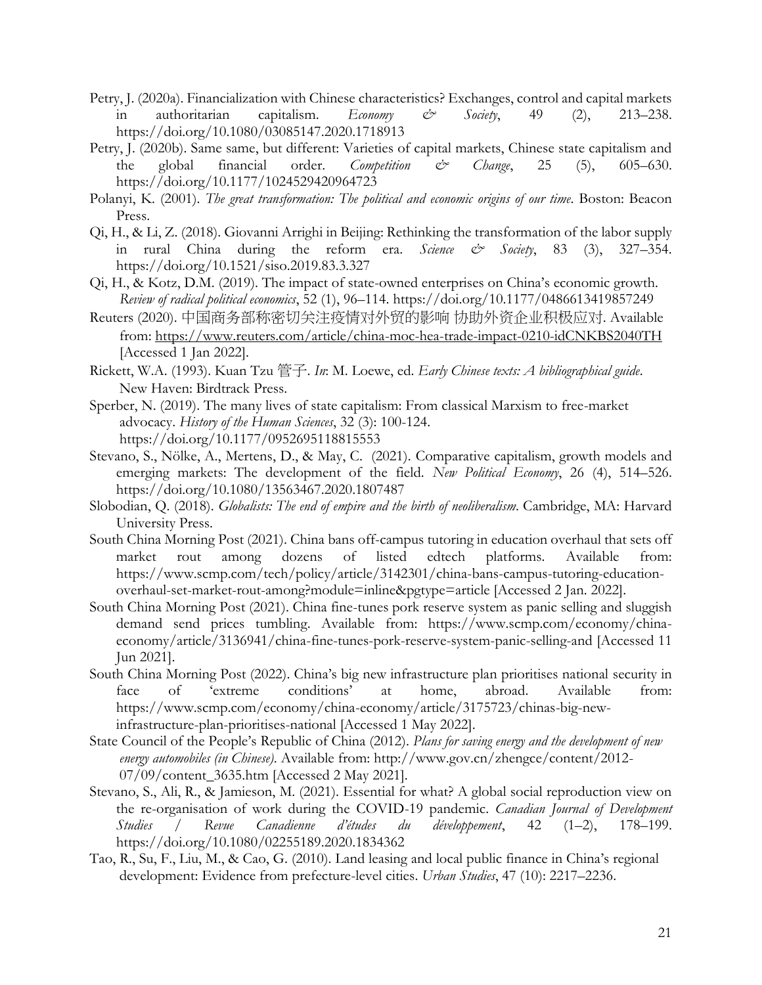- Petry, J. (2020a). Financialization with Chinese characteristics? Exchanges, control and capital markets in authoritarian capitalism. *Economy & Society*, 49 (2), 213–238. https://doi.org/10.1080/03085147.2020.1718913
- Petry, J. (2020b). Same same, but different: Varieties of capital markets, Chinese state capitalism and the global financial order. *Competition & Change*, 25 (5), 605–630. https://doi.org/10.1177/1024529420964723
- Polanyi, K. (2001). *The great transformation: The political and economic origins of our time*. Boston: Beacon Press.
- Qi, H., & Li, Z. (2018). Giovanni Arrighi in Beijing: Rethinking the transformation of the labor supply in rural China during the reform era. *Science & Society*, 83 (3), 327–354. https://doi.org/10.1521/siso.2019.83.3.327
- Qi, H., & Kotz, D.M. (2019). The impact of state-owned enterprises on China's economic growth. *Review of radical political economics*, 52 (1), 96–114. https://doi.org/10.1177/0486613419857249
- Reuters (2020). 中国商务部称密切关注疫情对外贸的影响 协助外资企业积极应对. Available from:<https://www.reuters.com/article/china-moc-hea-trade-impact-0210-idCNKBS2040TH> [Accessed 1 Jan 2022].
- Rickett, W.A. (1993). Kuan Tzu 管子. *In*: M. Loewe, ed. *Early Chinese texts: A bibliographical guide*. New Haven: Birdtrack Press.
- Sperber, N. (2019). The many lives of state capitalism: From classical Marxism to free-market advocacy. *History of the Human Sciences*, 32 (3): 100-124. https://doi.org/10.1177/0952695118815553
- Stevano, S., Nölke, A., Mertens, D., & May, C. (2021). Comparative capitalism, growth models and emerging markets: The development of the field. *New Political Economy*, 26 (4), 514–526. https://doi.org/10.1080/13563467.2020.1807487
- Slobodian, Q. (2018). *Globalists: The end of empire and the birth of neoliberalism*. Cambridge, MA: Harvard University Press.
- South China Morning Post (2021). China bans off-campus tutoring in education overhaul that sets off market rout among dozens of listed edtech platforms. Available from: https://www.scmp.com/tech/policy/article/3142301/china-bans-campus-tutoring-educationoverhaul-set-market-rout-among?module=inline&pgtype=article [Accessed 2 Jan. 2022].
- South China Morning Post (2021). China fine-tunes pork reserve system as panic selling and sluggish demand send prices tumbling. Available from: https://www.scmp.com/economy/chinaeconomy/article/3136941/china-fine-tunes-pork-reserve-system-panic-selling-and [Accessed 11 Jun 2021].
- South China Morning Post (2022). China's big new infrastructure plan prioritises national security in face of 'extreme conditions' at home, abroad. Available from: https://www.scmp.com/economy/china-economy/article/3175723/chinas-big-newinfrastructure-plan-prioritises-national [Accessed 1 May 2022].
- State Council of the People's Republic of China (2012). *Plans for saving energy and the development of new energy automobiles (in Chinese)*. Available from: http://www.gov.cn/zhengce/content/2012- 07/09/content\_3635.htm [Accessed 2 May 2021].
- Stevano, S., Ali, R., & Jamieson, M. (2021). Essential for what? A global social reproduction view on the re-organisation of work during the COVID-19 pandemic. *Canadian Journal of Development Studies / Revue Canadienne d'études du développement*, 42 (1–2), 178–199. https://doi.org/10.1080/02255189.2020.1834362
- Tao, R., Su, F., Liu, M., & Cao, G. (2010). Land leasing and local public finance in China's regional development: Evidence from prefecture-level cities. *Urban Studies*, 47 (10): 2217–2236.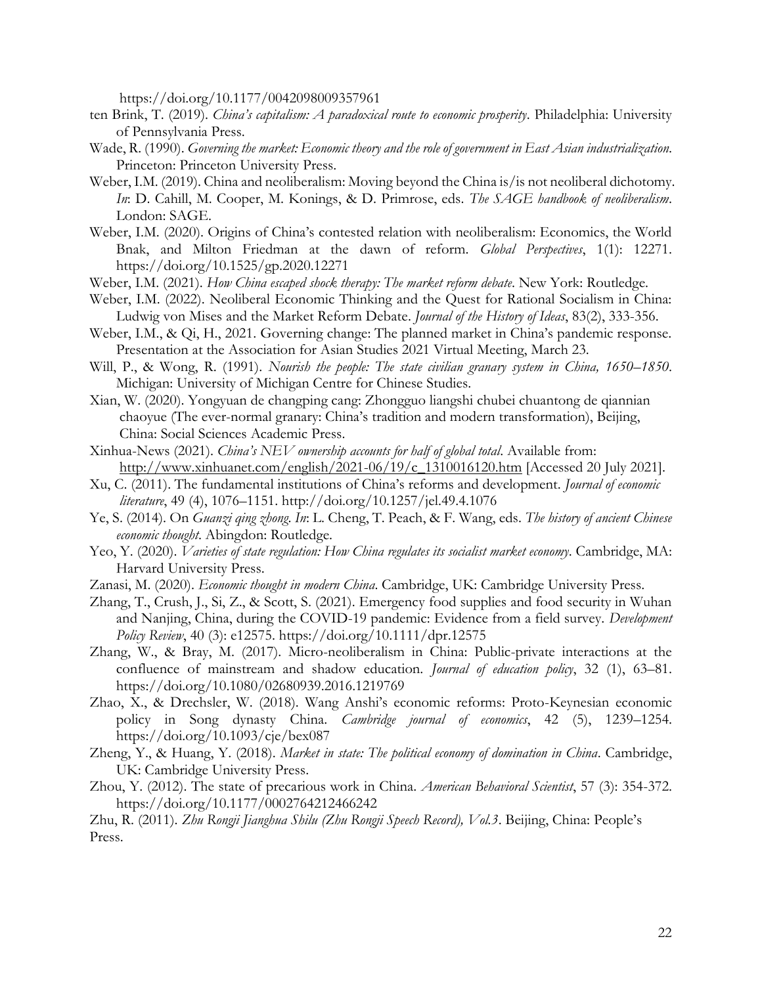https://doi.org/10.1177/0042098009357961

- ten Brink, T. (2019). *China's capitalism: A paradoxical route to economic prosperity*. Philadelphia: University of Pennsylvania Press.
- Wade, R. (1990). *Governing the market: Economic theory and the role of government in East Asian industrialization*. Princeton: Princeton University Press.
- Weber, I.M. (2019). China and neoliberalism: Moving beyond the China is/is not neoliberal dichotomy. *In*: D. Cahill, M. Cooper, M. Konings, & D. Primrose, eds. *The SAGE handbook of neoliberalism*. London: SAGE.
- Weber, I.M. (2020). Origins of China's contested relation with neoliberalism: Economics, the World Bnak, and Milton Friedman at the dawn of reform. *Global Perspectives*, 1(1): 12271. https://doi.org/10.1525/gp.2020.12271
- Weber, I.M. (2021). *How China escaped shock therapy: The market reform debate*. New York: Routledge.
- Weber, I.M. (2022). Neoliberal Economic Thinking and the Quest for Rational Socialism in China: Ludwig von Mises and the Market Reform Debate. *Journal of the History of Ideas*, 83(2), 333-356.
- Weber, I.M., & Qi, H., 2021. Governing change: The planned market in China's pandemic response. Presentation at the Association for Asian Studies 2021 Virtual Meeting, March 23.
- Will, P., & Wong, R. (1991). *Nourish the people: The state civilian granary system in China, 1650*–*1850*. Michigan: University of Michigan Centre for Chinese Studies.
- Xian, W. (2020). Yongyuan de changping cang: Zhongguo liangshi chubei chuantong de qiannian chaoyue (The ever-normal granary: China's tradition and modern transformation), Beijing, China: Social Sciences Academic Press.
- Xinhua-News (2021). *China's NEV ownership accounts for half of global total*. Available from: [http://www.xinhuanet.com/english/2021-06/19/c\\_1310016120.htm](http://www.xinhuanet.com/english/2021-06/19/c_1310016120.htm) [Accessed 20 July 2021].
- Xu, C. (2011). The fundamental institutions of China's reforms and development. *Journal of economic literature*, 49 (4), 1076–1151. http://doi.org/10.1257/jel.49.4.1076
- Ye, S. (2014). On *Guanzi qing zhong*. *In*: L. Cheng, T. Peach, & F. Wang, eds. *The history of ancient Chinese economic thought*. Abingdon: Routledge.
- Yeo, Y. (2020). *Varieties of state regulation: How China regulates its socialist market economy*. Cambridge, MA: Harvard University Press.
- Zanasi, M. (2020). *Economic thought in modern China*. Cambridge, UK: Cambridge University Press.
- Zhang, T., Crush, J., Si, Z., & Scott, S. (2021). Emergency food supplies and food security in Wuhan and Nanjing, China, during the COVID-19 pandemic: Evidence from a field survey. *Development Policy Review*, 40 (3): e12575. https://doi.org/10.1111/dpr.12575
- Zhang, W., & Bray, M. (2017). Micro-neoliberalism in China: Public-private interactions at the confluence of mainstream and shadow education. *Journal of education policy*, 32 (1), 63–81. https://doi.org/10.1080/02680939.2016.1219769
- Zhao, X., & Drechsler, W. (2018). Wang Anshi's economic reforms: Proto-Keynesian economic policy in Song dynasty China. *Cambridge journal of economics*, 42 (5), 1239–1254. https://doi.org/10.1093/cje/bex087
- Zheng, Y., & Huang, Y. (2018). *Market in state: The political economy of domination in China*. Cambridge, UK: Cambridge University Press.
- Zhou, Y. (2012). The state of precarious work in China. *American Behavioral Scientist*, 57 (3): 354-372. https://doi.org/10.1177/0002764212466242

Zhu, R. (2011). *Zhu Rongji Jianghua Shilu (Zhu Rongji Speech Record), Vol.3*. Beijing, China: People's Press.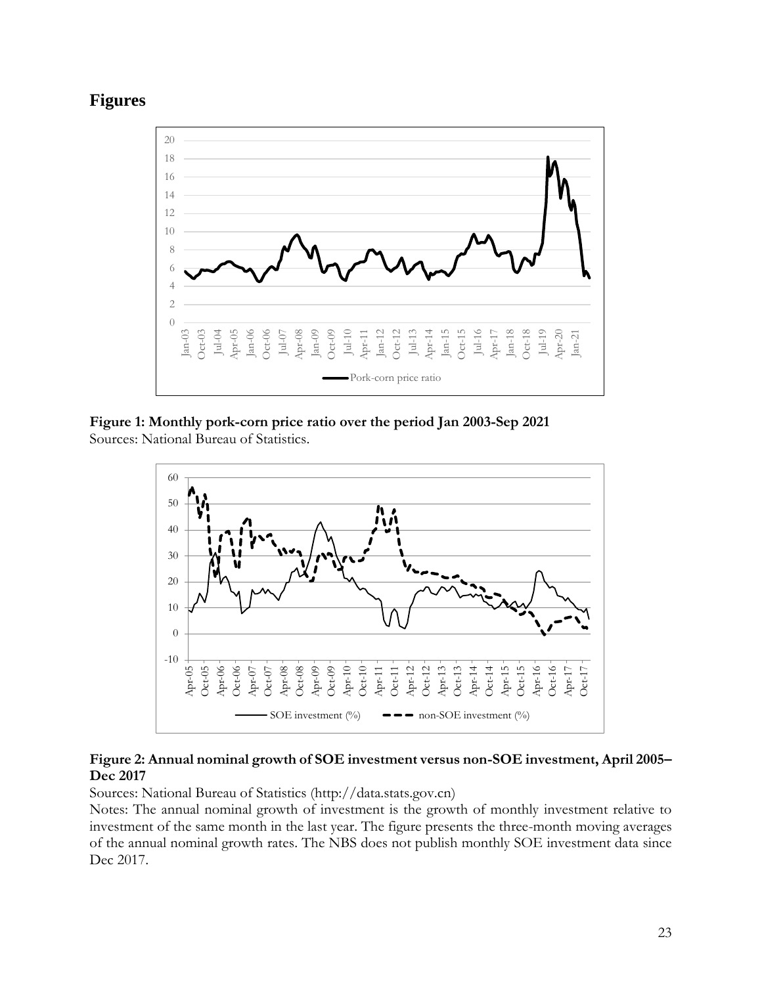



**Figure 1: Monthly pork-corn price ratio over the period Jan 2003-Sep 2021** Sources: National Bureau of Statistics.



#### **Figure 2: Annual nominal growth of SOE investment versus non-SOE investment, April 2005– Dec 2017**

Sources: National Bureau of Statistics (http://data.stats.gov.cn)

Notes: The annual nominal growth of investment is the growth of monthly investment relative to investment of the same month in the last year. The figure presents the three-month moving averages of the annual nominal growth rates. The NBS does not publish monthly SOE investment data since Dec 2017.